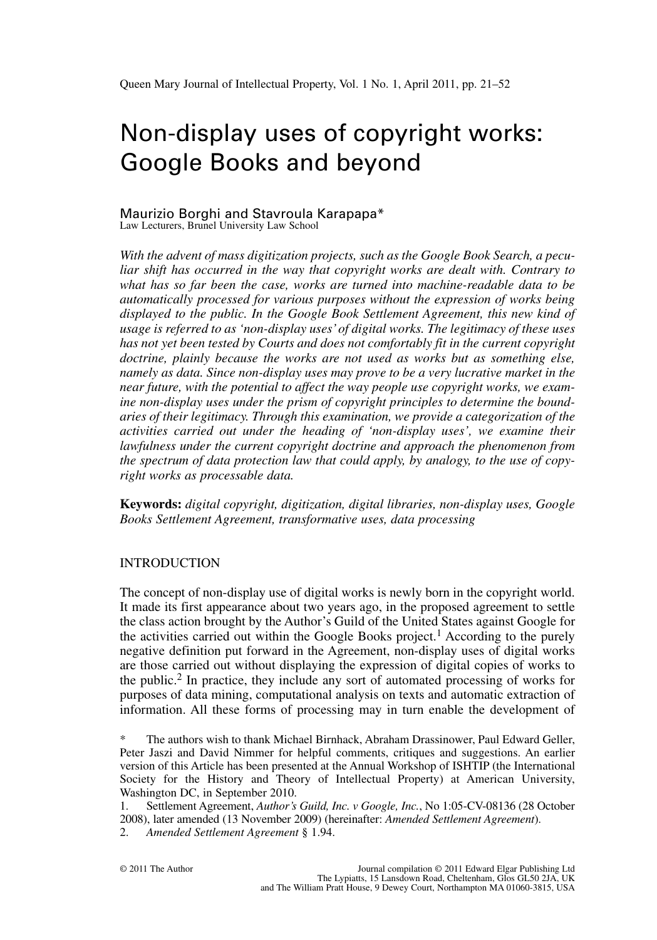# Non-display uses of copyright works: Google Books and beyond

#### Maurizio Borghi and Stavroula Karapapa\* Law Lecturers, Brunel University Law School

*With the advent of mass digitization projects, such as the Google Book Search, a peculiar shift has occurred in the way that copyright works are dealt with. Contrary to what has so far been the case, works are turned into machine-readable data to be automatically processed for various purposes without the expression of works being displayed to the public. In the Google Book Settlement Agreement, this new kind of usage is referred to as 'non-display uses'of digital works. The legitimacy of these uses has not yet been tested by Courts and does not comfortably fit in the current copyright doctrine, plainly because the works are not used as works but as something else, namely as data. Since non-display uses may prove to be a very lucrative market in the near future, with the potential to affect the way people use copyright works, we examine non-display uses under the prism of copyright principles to determine the boundaries of their legitimacy. Through this examination, we provide a categorization of the activities carried out under the heading of 'non-display uses', we examine their lawfulness under the current copyright doctrine and approach the phenomenon from the spectrum of data protection law that could apply, by analogy, to the use of copyright works as processable data.*

**Keywords:** *digital copyright, digitization, digital libraries, non-display uses, Google Books Settlement Agreement, transformative uses, data processing*

# INTRODUCTION

The concept of non-display use of digital works is newly born in the copyright world. It made its first appearance about two years ago, in the proposed agreement to settle the class action brought by the Author's Guild of the United States against Google for the activities carried out within the Google Books project.<sup>1</sup> According to the purely negative definition put forward in the Agreement, non-display uses of digital works are those carried out without displaying the expression of digital copies of works to the public.<sup>2</sup> In practice, they include any sort of automated processing of works for purposes of data mining, computational analysis on texts and automatic extraction of information. All these forms of processing may in turn enable the development of

\* The authors wish to thank Michael Birnhack, Abraham Drassinower, Paul Edward Geller, Peter Jaszi and David Nimmer for helpful comments, critiques and suggestions. An earlier version of this Article has been presented at the Annual Workshop of ISHTIP (the International Society for the History and Theory of Intellectual Property) at American University, Washington DC, in September 2010.

1. Settlement Agreement, *Author's Guild, Inc. v Google, Inc.*, No 1:05-CV-08136 (28 October 2008), later amended (13 November 2009) (hereinafter: *Amended Settlement Agreement*).

2. *Amended Settlement Agreement* § 1.94.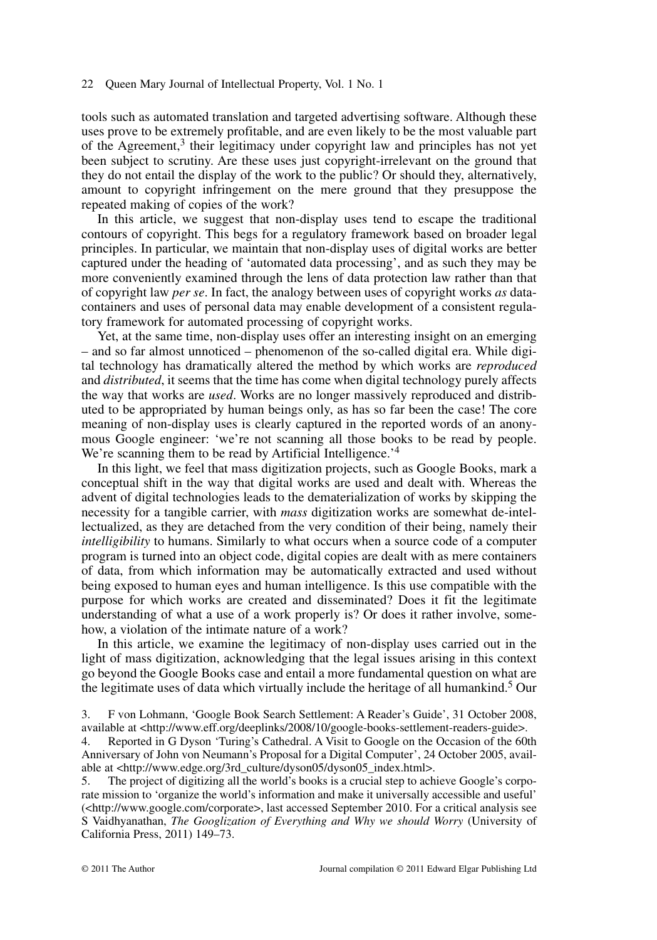tools such as automated translation and targeted advertising software. Although these uses prove to be extremely profitable, and are even likely to be the most valuable part of the Agreement, $3$  their legitimacy under copyright law and principles has not yet been subject to scrutiny. Are these uses just copyright-irrelevant on the ground that they do not entail the display of the work to the public? Or should they, alternatively, amount to copyright infringement on the mere ground that they presuppose the repeated making of copies of the work?

In this article, we suggest that non-display uses tend to escape the traditional contours of copyright. This begs for a regulatory framework based on broader legal principles. In particular, we maintain that non-display uses of digital works are better captured under the heading of 'automated data processing', and as such they may be more conveniently examined through the lens of data protection law rather than that of copyright law *per se*. In fact, the analogy between uses of copyright works *as* datacontainers and uses of personal data may enable development of a consistent regulatory framework for automated processing of copyright works.

Yet, at the same time, non-display uses offer an interesting insight on an emerging – and so far almost unnoticed – phenomenon of the so-called digital era. While digital technology has dramatically altered the method by which works are *reproduced* and *distributed*, it seems that the time has come when digital technology purely affects the way that works are *used*. Works are no longer massively reproduced and distributed to be appropriated by human beings only, as has so far been the case! The core meaning of non-display uses is clearly captured in the reported words of an anonymous Google engineer: 'we're not scanning all those books to be read by people. We're scanning them to be read by Artificial Intelligence.<sup>'4</sup>

In this light, we feel that mass digitization projects, such as Google Books, mark a conceptual shift in the way that digital works are used and dealt with. Whereas the advent of digital technologies leads to the dematerialization of works by skipping the necessity for a tangible carrier, with *mass* digitization works are somewhat de-intellectualized, as they are detached from the very condition of their being, namely their *intelligibility* to humans. Similarly to what occurs when a source code of a computer program is turned into an object code, digital copies are dealt with as mere containers of data, from which information may be automatically extracted and used without being exposed to human eyes and human intelligence. Is this use compatible with the purpose for which works are created and disseminated? Does it fit the legitimate understanding of what a use of a work properly is? Or does it rather involve, somehow, a violation of the intimate nature of a work?

In this article, we examine the legitimacy of non-display uses carried out in the light of mass digitization, acknowledging that the legal issues arising in this context go beyond the Google Books case and entail a more fundamental question on what are the legitimate uses of data which virtually include the heritage of all humankind.<sup>5</sup> Our

5. The project of digitizing all the world's books is a crucial step to achieve Google's corporate mission to 'organize the world's information and make it universally accessible and useful' (<http://www.google.com/corporate>, last accessed September 2010. For a critical analysis see S Vaidhyanathan, *The Googlization of Everything and Why we should Worry* (University of California Press, 2011) 149–73.

<sup>3.</sup> F von Lohmann, 'Google Book Search Settlement: A Reader's Guide', 31 October 2008, available at <http://www.eff.org/deeplinks/2008/10/google-books-settlement-readers-guide>.

<sup>4.</sup> Reported in G Dyson 'Turing's Cathedral. A Visit to Google on the Occasion of the 60th Anniversary of John von Neumann's Proposal for a Digital Computer', 24 October 2005, available at <http://www.edge.org/3rd\_culture/dyson05/dyson05\_index.html>.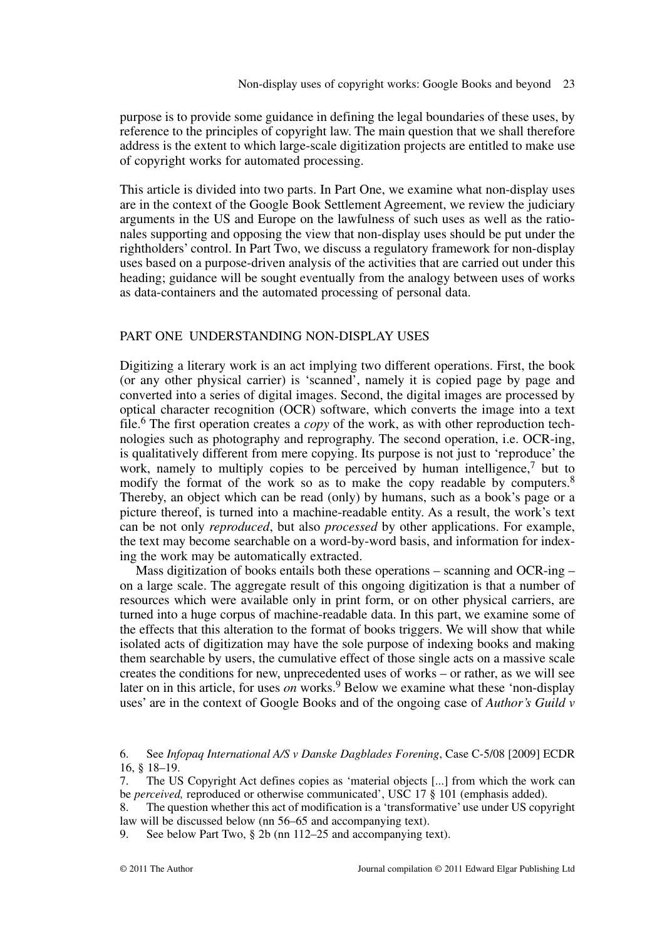purpose is to provide some guidance in defining the legal boundaries of these uses, by reference to the principles of copyright law. The main question that we shall therefore address is the extent to which large-scale digitization projects are entitled to make use of copyright works for automated processing.

This article is divided into two parts. In Part One, we examine what non-display uses are in the context of the Google Book Settlement Agreement, we review the judiciary arguments in the US and Europe on the lawfulness of such uses as well as the rationales supporting and opposing the view that non-display uses should be put under the rightholders' control. In Part Two, we discuss a regulatory framework for non-display uses based on a purpose-driven analysis of the activities that are carried out under this heading; guidance will be sought eventually from the analogy between uses of works as data-containers and the automated processing of personal data.

## PART ONE LINDERSTANDING NON-DISPLAY USES

Digitizing a literary work is an act implying two different operations. First, the book (or any other physical carrier) is 'scanned', namely it is copied page by page and converted into a series of digital images. Second, the digital images are processed by optical character recognition (OCR) software, which converts the image into a text file.<sup>6</sup> The first operation creates a *copy* of the work, as with other reproduction technologies such as photography and reprography. The second operation, i.e. OCR-ing, is qualitatively different from mere copying. Its purpose is not just to 'reproduce' the work, namely to multiply copies to be perceived by human intelligence,<sup>7</sup> but to modify the format of the work so as to make the copy readable by computers.<sup>8</sup> Thereby, an object which can be read (only) by humans, such as a book's page or a picture thereof, is turned into a machine-readable entity. As a result, the work's text can be not only *reproduced*, but also *processed* by other applications. For example, the text may become searchable on a word-by-word basis, and information for indexing the work may be automatically extracted.

Mass digitization of books entails both these operations – scanning and OCR-ing – on a large scale. The aggregate result of this ongoing digitization is that a number of resources which were available only in print form, or on other physical carriers, are turned into a huge corpus of machine-readable data. In this part, we examine some of the effects that this alteration to the format of books triggers. We will show that while isolated acts of digitization may have the sole purpose of indexing books and making them searchable by users, the cumulative effect of those single acts on a massive scale creates the conditions for new, unprecedented uses of works – or rather, as we will see later on in this article, for uses *on* works.<sup>9</sup> Below we examine what these 'non-display uses' are in the context of Google Books and of the ongoing case of *Author's Guild v*

<sup>6.</sup> See *Infopaq International A/S v Danske Dagblades Forening*, Case C-5/08 [2009] ECDR 16, § 18–19.

<sup>7.</sup> The US Copyright Act defines copies as 'material objects [...] from which the work can be *perceived,* reproduced or otherwise communicated', USC 17 § 101 (emphasis added).

<sup>8.</sup> The question whether this act of modification is a 'transformative' use under US copyright law will be discussed below (nn 56–65 and accompanying text).

<sup>9.</sup> See below Part Two, § 2b (nn 112–25 and accompanying text).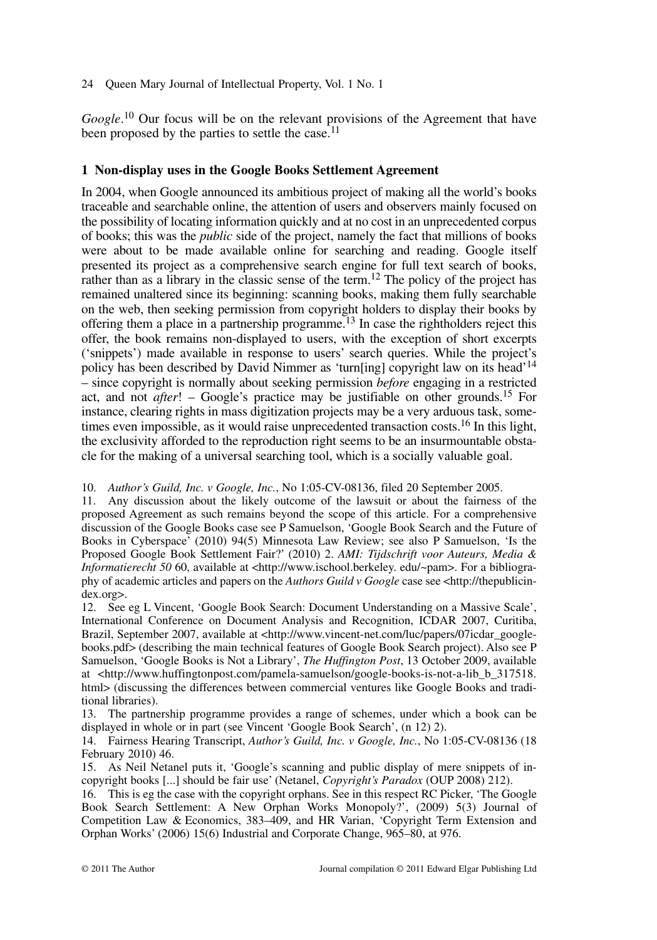Google.<sup>10</sup> Our focus will be on the relevant provisions of the Agreement that have been proposed by the parties to settle the case.<sup>11</sup>

# **1 Non-display uses in the Google Books Settlement Agreement**

In 2004, when Google announced its ambitious project of making all the world's books traceable and searchable online, the attention of users and observers mainly focused on the possibility of locating information quickly and at no cost in an unprecedented corpus of books; this was the *public* side of the project, namely the fact that millions of books were about to be made available online for searching and reading. Google itself presented its project as a comprehensive search engine for full text search of books, rather than as a library in the classic sense of the term.<sup>12</sup> The policy of the project has remained unaltered since its beginning: scanning books, making them fully searchable on the web, then seeking permission from copyright holders to display their books by offering them a place in a partnership programme.13 In case the rightholders reject this offer, the book remains non-displayed to users, with the exception of short excerpts ('snippets') made available in response to users' search queries. While the project's policy has been described by David Nimmer as 'turn[ing] copyright law on its head'14 – since copyright is normally about seeking permission *before* engaging in a restricted act, and not *after*! – Google's practice may be justifiable on other grounds.15 For instance, clearing rights in mass digitization projects may be a very arduous task, sometimes even impossible, as it would raise unprecedented transaction costs.<sup>16</sup> In this light, the exclusivity afforded to the reproduction right seems to be an insurmountable obstacle for the making of a universal searching tool, which is a socially valuable goal.

10. *Author's Guild, Inc. v Google, Inc.*, No 1:05-CV-08136, filed 20 September 2005.

11. Any discussion about the likely outcome of the lawsuit or about the fairness of the proposed Agreement as such remains beyond the scope of this article. For a comprehensive discussion of the Google Books case see P Samuelson, 'Google Book Search and the Future of Books in Cyberspace' (2010) 94(5) Minnesota Law Review; see also P Samuelson, 'Is the Proposed Google Book Settlement Fair?' (2010) 2. *AMI: Tijdschrift voor Auteurs, Media & Informatierecht 50* 60, available at <http://www.ischool.berkeley. edu/~pam>. For a bibliography of academic articles and papers on the *Authors Guild v Google* case see <http://thepublicindex.org>.

12. See eg L Vincent, 'Google Book Search: Document Understanding on a Massive Scale', International Conference on Document Analysis and Recognition, ICDAR 2007, Curitiba, Brazil, September 2007, available at <http://www.vincent-net.com/luc/papers/07icdar\_googlebooks.pdf> (describing the main technical features of Google Book Search project). Also see P Samuelson, 'Google Books is Not a Library', *The Huffington Post*, 13 October 2009, available at <http://www.huffingtonpost.com/pamela-samuelson/google-books-is-not-a-lib\_b\_317518. html> (discussing the differences between commercial ventures like Google Books and traditional libraries).

13. The partnership programme provides a range of schemes, under which a book can be displayed in whole or in part (see Vincent 'Google Book Search', (n 12) 2).

14. Fairness Hearing Transcript, *Author's Guild, Inc. v Google, Inc.*, No 1:05-CV-08136 (18 February 2010) 46.

15. As Neil Netanel puts it, 'Google's scanning and public display of mere snippets of incopyright books [...] should be fair use' (Netanel, *Copyright's Paradox* (OUP 2008) 212).

16. This is eg the case with the copyright orphans. See in this respect RC Picker, 'The Google Book Search Settlement: A New Orphan Works Monopoly?', (2009) 5(3) Journal of Competition Law & Economics, 383–409, and HR Varian, 'Copyright Term Extension and Orphan Works' (2006) 15(6) Industrial and Corporate Change, 965–80, at 976.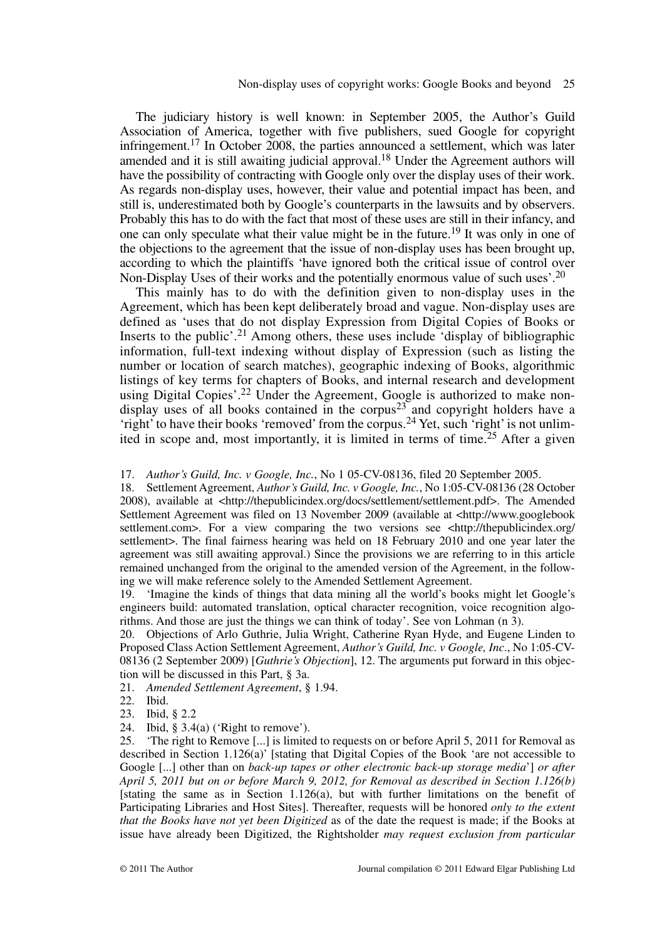The judiciary history is well known: in September 2005, the Author's Guild Association of America, together with five publishers, sued Google for copyright infringement.<sup>17</sup> In October 2008, the parties announced a settlement, which was later amended and it is still awaiting judicial approval.<sup>18</sup> Under the Agreement authors will have the possibility of contracting with Google only over the display uses of their work. As regards non-display uses, however, their value and potential impact has been, and still is, underestimated both by Google's counterparts in the lawsuits and by observers. Probably this has to do with the fact that most of these uses are still in their infancy, and one can only speculate what their value might be in the future.<sup>19</sup> It was only in one of the objections to the agreement that the issue of non-display uses has been brought up, according to which the plaintiffs 'have ignored both the critical issue of control over Non-Display Uses of their works and the potentially enormous value of such uses'.<sup>20</sup>

This mainly has to do with the definition given to non-display uses in the Agreement, which has been kept deliberately broad and vague. Non-display uses are defined as 'uses that do not display Expression from Digital Copies of Books or Inserts to the public'.<sup>21</sup> Among others, these uses include 'display of bibliographic information, full-text indexing without display of Expression (such as listing the number or location of search matches), geographic indexing of Books, algorithmic listings of key terms for chapters of Books, and internal research and development using Digital Copies'.<sup>22</sup> Under the Agreement, Google is authorized to make nondisplay uses of all books contained in the corpus<sup>23</sup> and copyright holders have a 'right' to have their books 'removed' from the corpus.<sup>24</sup> Yet, such 'right' is not unlimited in scope and, most importantly, it is limited in terms of time.<sup>25</sup> After a given

17. *Author's Guild, Inc. v Google, Inc.*, No 1 05-CV-08136, filed 20 September 2005. 18. Settlement Agreement, *Author's Guild, Inc. v Google, Inc.*, No 1:05-CV-08136 (28 October 2008), available at <http://thepublicindex.org/docs/settlement/settlement.pdf>. The Amended Settlement Agreement was filed on 13 November 2009 (available at <http://www.googlebook settlement.com>. For a view comparing the two versions see <http://thepublicindex.org/ settlement >. The final fairness hearing was held on 18 February 2010 and one year later the agreement was still awaiting approval.) Since the provisions we are referring to in this article remained unchanged from the original to the amended version of the Agreement, in the following we will make reference solely to the Amended Settlement Agreement.

19. 'Imagine the kinds of things that data mining all the world's books might let Google's engineers build: automated translation, optical character recognition, voice recognition algorithms. And those are just the things we can think of today'. See von Lohman (n 3).

20. Objections of Arlo Guthrie, Julia Wright, Catherine Ryan Hyde, and Eugene Linden to Proposed Class Action Settlement Agreement, *Author's Guild, Inc. v Google, Inc*., No 1:05-CV-08136 (2 September 2009) [*Guthrie's Objection*], 12. The arguments put forward in this objection will be discussed in this Part, § 3a.

21. *Amended Settlement Agreement*, § 1.94.

- 22. Ibid.
- 23. Ibid, § 2.2
- 24. Ibid, § 3.4(a) ('Right to remove').

25. 'The right to Remove [...] is limited to requests on or before April 5, 2011 for Removal as described in Section 1.126(a)' [stating that Digital Copies of the Book 'are not accessible to Google [...] other than on *back-up tapes or other electronic back-up storage media*'] *or after April 5, 2011 but on or before March 9, 2012, for Removal as described in Section 1.126(b)* [stating the same as in Section 1.126(a), but with further limitations on the benefit of Participating Libraries and Host Sites]. Thereafter, requests will be honored *only to the extent that the Books have not yet been Digitized* as of the date the request is made; if the Books at issue have already been Digitized, the Rightsholder *may request exclusion from particular*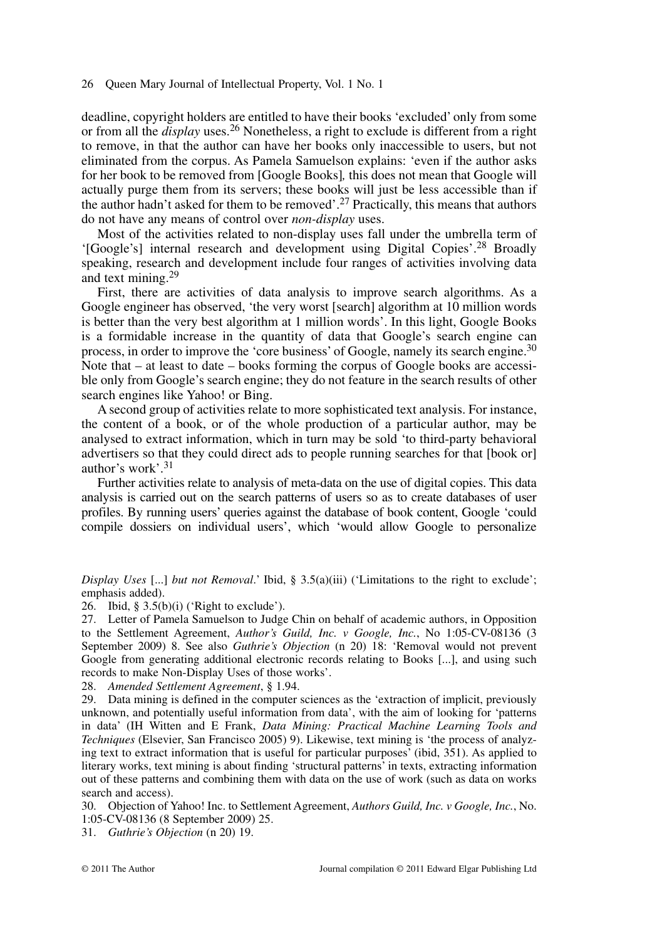deadline, copyright holders are entitled to have their books 'excluded' only from some or from all the *display* uses.<sup>26</sup> Nonetheless, a right to exclude is different from a right to remove, in that the author can have her books only inaccessible to users, but not eliminated from the corpus. As Pamela Samuelson explains: 'even if the author asks for her book to be removed from [Google Books]*,* this does not mean that Google will actually purge them from its servers; these books will just be less accessible than if the author hadn't asked for them to be removed'.<sup>27</sup> Practically, this means that authors do not have any means of control over *non-display* uses.

Most of the activities related to non-display uses fall under the umbrella term of '[Google's] internal research and development using Digital Copies'.28 Broadly speaking, research and development include four ranges of activities involving data and text mining.<sup>29</sup>

First, there are activities of data analysis to improve search algorithms. As a Google engineer has observed, 'the very worst [search] algorithm at 10 million words is better than the very best algorithm at 1 million words'. In this light, Google Books is a formidable increase in the quantity of data that Google's search engine can process, in order to improve the 'core business' of Google, namely its search engine.<sup>30</sup> Note that  $-$  at least to date  $-$  books forming the corpus of Google books are accessible only from Google's search engine; they do not feature in the search results of other search engines like Yahoo! or Bing.

A second group of activities relate to more sophisticated text analysis. For instance, the content of a book, or of the whole production of a particular author, may be analysed to extract information, which in turn may be sold 'to third-party behavioral advertisers so that they could direct ads to people running searches for that [book or] author's work'.31

Further activities relate to analysis of meta-data on the use of digital copies. This data analysis is carried out on the search patterns of users so as to create databases of user profiles. By running users' queries against the database of book content, Google 'could compile dossiers on individual users', which 'would allow Google to personalize

*Display Uses* [...] *but not Removal*.' Ibid, § 3.5(a)(iii) ('Limitations to the right to exclude'; emphasis added).

26. Ibid,  $\S 3.5(b)(i)$  ('Right to exclude').

27. Letter of Pamela Samuelson to Judge Chin on behalf of academic authors, in Opposition to the Settlement Agreement, *Author's Guild, Inc. v Google, Inc.*, No 1:05-CV-08136 (3 September 2009) 8. See also *Guthrie's Objection* (n 20) 18: 'Removal would not prevent Google from generating additional electronic records relating to Books [...], and using such records to make Non-Display Uses of those works'.

28. *Amended Settlement Agreement*, § 1.94.

29. Data mining is defined in the computer sciences as the 'extraction of implicit, previously unknown, and potentially useful information from data', with the aim of looking for 'patterns in data' (IH Witten and E Frank, *Data Mining: Practical Machine Learning Tools and Techniques* (Elsevier, San Francisco 2005) 9). Likewise, text mining is 'the process of analyzing text to extract information that is useful for particular purposes' (ibid, 351). As applied to literary works, text mining is about finding 'structural patterns' in texts, extracting information out of these patterns and combining them with data on the use of work (such as data on works search and access).

30. Objection of Yahoo! Inc. to Settlement Agreement, *Authors Guild, Inc. v Google, Inc.*, No. 1:05-CV-08136 (8 September 2009) 25.

31. *Guthrie's Objection* (n 20) 19.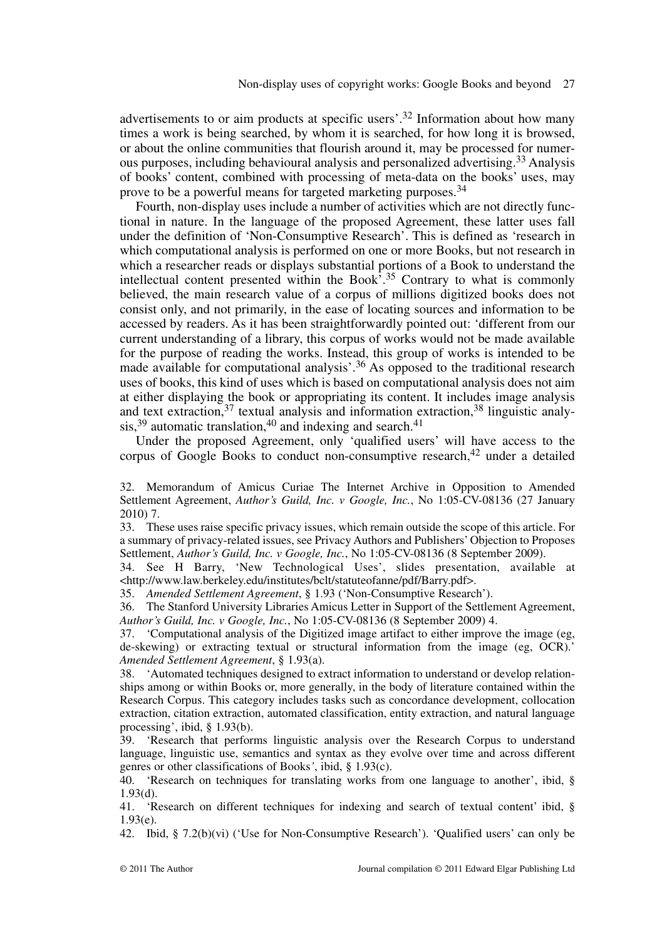advertisements to or aim products at specific users'.<sup>32</sup> Information about how many times a work is being searched, by whom it is searched, for how long it is browsed, or about the online communities that flourish around it, may be processed for numerous purposes, including behavioural analysis and personalized advertising.<sup>33</sup> Analysis of books' content, combined with processing of meta-data on the books' uses, may prove to be a powerful means for targeted marketing purposes.34

Fourth, non-display uses include a number of activities which are not directly functional in nature. In the language of the proposed Agreement, these latter uses fall under the definition of 'Non-Consumptive Research'. This is defined as 'research in which computational analysis is performed on one or more Books, but not research in which a researcher reads or displays substantial portions of a Book to understand the intellectual content presented within the Book'.<sup>35</sup> Contrary to what is commonly believed, the main research value of a corpus of millions digitized books does not consist only, and not primarily, in the ease of locating sources and information to be accessed by readers. As it has been straightforwardly pointed out: 'different from our current understanding of a library, this corpus of works would not be made available for the purpose of reading the works. Instead, this group of works is intended to be made available for computational analysis'.36 As opposed to the traditional research uses of books, this kind of uses which is based on computational analysis does not aim at either displaying the book or appropriating its content. It includes image analysis and text extraction,  $37$  textual analysis and information extraction,  $38$  linguistic analysis,<sup>39</sup> automatic translation,<sup>40</sup> and indexing and search.<sup>41</sup>

Under the proposed Agreement, only 'qualified users' will have access to the corpus of Google Books to conduct non-consumptive research, $42$  under a detailed

33. These uses raise specific privacy issues, which remain outside the scope of this article. For a summary of privacy-related issues, see Privacy Authors and Publishers' Objection to Proposes Settlement, *Author's Guild, Inc. v Google, Inc.*, No 1:05-CV-08136 (8 September 2009).

34. See H Barry, 'New Technological Uses', slides presentation, available at <http://www.law.berkeley.edu/institutes/bclt/statuteofanne/pdf/Barry.pdf>.

35. *Amended Settlement Agreement*, § 1.93 ('Non-Consumptive Research').

36. The Stanford University Libraries Amicus Letter in Support of the Settlement Agreement, *Author's Guild, Inc. v Google, Inc.*, No 1:05-CV-08136 (8 September 2009) 4.

37. 'Computational analysis of the Digitized image artifact to either improve the image (eg, de-skewing) or extracting textual or structural information from the image (eg, OCR).' *Amended Settlement Agreement*, § 1.93(a).

38. 'Automated techniques designed to extract information to understand or develop relationships among or within Books or, more generally, in the body of literature contained within the Research Corpus. This category includes tasks such as concordance development, collocation extraction, citation extraction, automated classification, entity extraction, and natural language processing', ibid, § 1.93(b).

39. 'Research that performs linguistic analysis over the Research Corpus to understand language, linguistic use, semantics and syntax as they evolve over time and across different genres or other classifications of Books*'*, ibid, § 1.93(c).

40. 'Research on techniques for translating works from one language to another', ibid, § 1.93(d).

41. 'Research on different techniques for indexing and search of textual content' ibid, § 1.93(e).

42. Ibid, § 7.2(b)(vi) ('Use for Non-Consumptive Research'). 'Qualified users' can only be

<sup>32.</sup> Memorandum of Amicus Curiae The Internet Archive in Opposition to Amended Settlement Agreement, *Author's Guild, Inc. v Google, Inc.*, No 1:05-CV-08136 (27 January 2010) 7.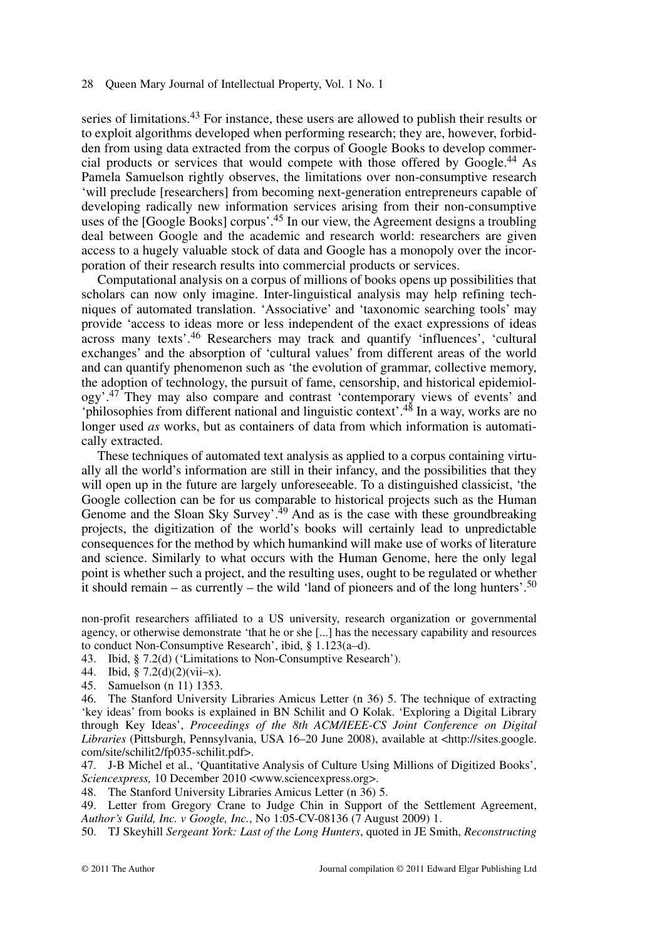series of limitations.<sup>43</sup> For instance, these users are allowed to publish their results or to exploit algorithms developed when performing research; they are, however, forbidden from using data extracted from the corpus of Google Books to develop commercial products or services that would compete with those offered by Google.44 As Pamela Samuelson rightly observes, the limitations over non-consumptive research 'will preclude [researchers] from becoming next-generation entrepreneurs capable of developing radically new information services arising from their non-consumptive uses of the [Google Books] corpus'.45 In our view, the Agreement designs a troubling deal between Google and the academic and research world: researchers are given access to a hugely valuable stock of data and Google has a monopoly over the incorporation of their research results into commercial products or services.

Computational analysis on a corpus of millions of books opens up possibilities that scholars can now only imagine. Inter-linguistical analysis may help refining techniques of automated translation. 'Associative' and 'taxonomic searching tools' may provide 'access to ideas more or less independent of the exact expressions of ideas across many texts'.46 Researchers may track and quantify 'influences', 'cultural exchanges' and the absorption of 'cultural values' from different areas of the world and can quantify phenomenon such as 'the evolution of grammar, collective memory, the adoption of technology, the pursuit of fame, censorship, and historical epidemiology'.<sup>47</sup> They may also compare and contrast 'contemporary views of events' and 'philosophies from different national and linguistic context'.48 In a way, works are no longer used *as* works, but as containers of data from which information is automatically extracted.

These techniques of automated text analysis as applied to a corpus containing virtually all the world's information are still in their infancy, and the possibilities that they will open up in the future are largely unforeseeable. To a distinguished classicist, 'the Google collection can be for us comparable to historical projects such as the Human Genome and the Sloan Sky Survey'.<sup>49</sup> And as is the case with these groundbreaking projects, the digitization of the world's books will certainly lead to unpredictable consequences for the method by which humankind will make use of works of literature and science. Similarly to what occurs with the Human Genome, here the only legal point is whether such a project, and the resulting uses, ought to be regulated or whether it should remain – as currently – the wild 'land of pioneers and of the long hunters'.<sup>50</sup>

non-profit researchers affiliated to a US university, research organization or governmental agency, or otherwise demonstrate 'that he or she [...] has the necessary capability and resources to conduct Non-Consumptive Research', ibid, § 1.123(a–d).

43. Ibid, § 7.2(d) ('Limitations to Non-Consumptive Research').

44. Ibid, § 7.2(d)(2)(vii–x).

45. Samuelson (n 11) 1353.

46. The Stanford University Libraries Amicus Letter (n 36) 5. The technique of extracting 'key ideas' from books is explained in BN Schilit and O Kolak. 'Exploring a Digital Library through Key Ideas', *Proceedings of the 8th ACM/IEEE-CS Joint Conference on Digital Libraries* (Pittsburgh, Pennsylvania, USA 16–20 June 2008), available at <http://sites.google. com/site/schilit2/fp035-schilit.pdf>.

47. J-B Michel et al., 'Quantitative Analysis of Culture Using Millions of Digitized Books', *Sciencexpress,* 10 December 2010 <www.sciencexpress.org>.

48. The Stanford University Libraries Amicus Letter (n 36) 5.

49. Letter from Gregory Crane to Judge Chin in Support of the Settlement Agreement, *Author's Guild, Inc. v Google, Inc.*, No 1:05-CV-08136 (7 August 2009) 1.

50. TJ Skeyhill *Sergeant York: Last of the Long Hunters*, quoted in JE Smith, *Reconstructing*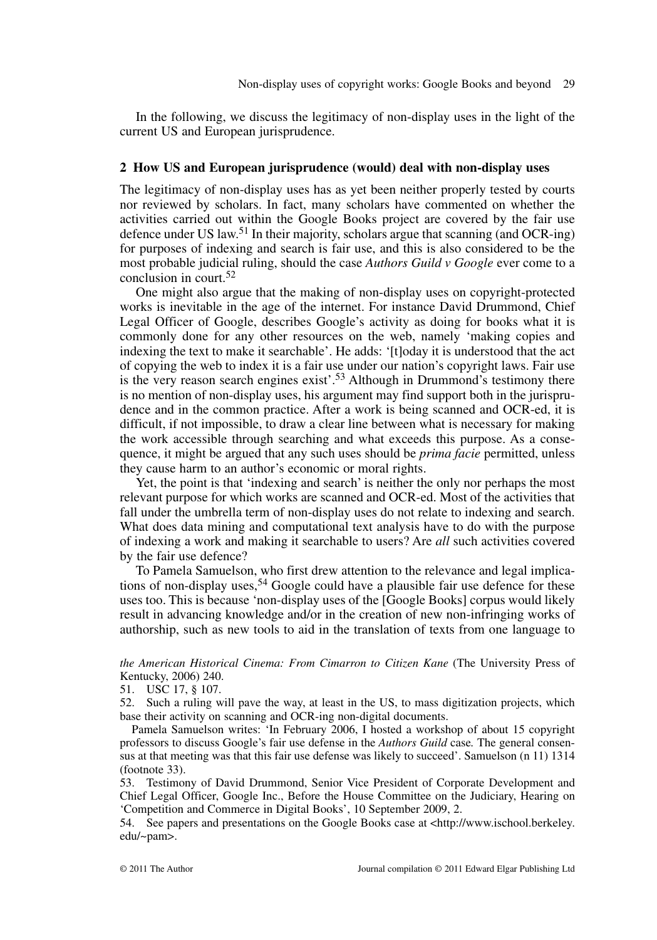In the following, we discuss the legitimacy of non-display uses in the light of the current US and European jurisprudence.

## **2 How US and European jurisprudence (would) deal with non-display uses**

The legitimacy of non-display uses has as yet been neither properly tested by courts nor reviewed by scholars. In fact, many scholars have commented on whether the activities carried out within the Google Books project are covered by the fair use defence under US law.<sup>51</sup> In their majority, scholars argue that scanning (and OCR-ing) for purposes of indexing and search is fair use, and this is also considered to be the most probable judicial ruling, should the case *Authors Guild v Google* ever come to a conclusion in court.<sup>52</sup>

One might also argue that the making of non-display uses on copyright-protected works is inevitable in the age of the internet. For instance David Drummond, Chief Legal Officer of Google, describes Google's activity as doing for books what it is commonly done for any other resources on the web, namely 'making copies and indexing the text to make it searchable'. He adds: '[t]oday it is understood that the act of copying the web to index it is a fair use under our nation's copyright laws. Fair use is the very reason search engines exist'.<sup>53</sup> Although in Drummond's testimony there is no mention of non-display uses, his argument may find support both in the jurisprudence and in the common practice. After a work is being scanned and OCR-ed, it is difficult, if not impossible, to draw a clear line between what is necessary for making the work accessible through searching and what exceeds this purpose. As a consequence, it might be argued that any such uses should be *prima facie* permitted, unless they cause harm to an author's economic or moral rights.

Yet, the point is that 'indexing and search' is neither the only nor perhaps the most relevant purpose for which works are scanned and OCR-ed. Most of the activities that fall under the umbrella term of non-display uses do not relate to indexing and search. What does data mining and computational text analysis have to do with the purpose of indexing a work and making it searchable to users? Are *all* such activities covered by the fair use defence?

To Pamela Samuelson, who first drew attention to the relevance and legal implications of non-display uses,  $54$  Google could have a plausible fair use defence for these uses too. This is because 'non-display uses of the [Google Books] corpus would likely result in advancing knowledge and/or in the creation of new non-infringing works of authorship, such as new tools to aid in the translation of texts from one language to

*the American Historical Cinema: From Cimarron to Citizen Kane* (The University Press of Kentucky, 2006) 240.

51. USC 17, § 107.

52. Such a ruling will pave the way, at least in the US, to mass digitization projects, which base their activity on scanning and OCR-ing non-digital documents.

Pamela Samuelson writes: 'In February 2006, I hosted a workshop of about 15 copyright professors to discuss Google's fair use defense in the *Authors Guild* case*.* The general consensus at that meeting was that this fair use defense was likely to succeed'. Samuelson (n 11) 1314 (footnote 33).

53. Testimony of David Drummond, Senior Vice President of Corporate Development and Chief Legal Officer, Google Inc., Before the House Committee on the Judiciary, Hearing on 'Competition and Commerce in Digital Books', 10 September 2009, 2.

54. See papers and presentations on the Google Books case at <http://www.ischool.berkeley. edu/~pam>.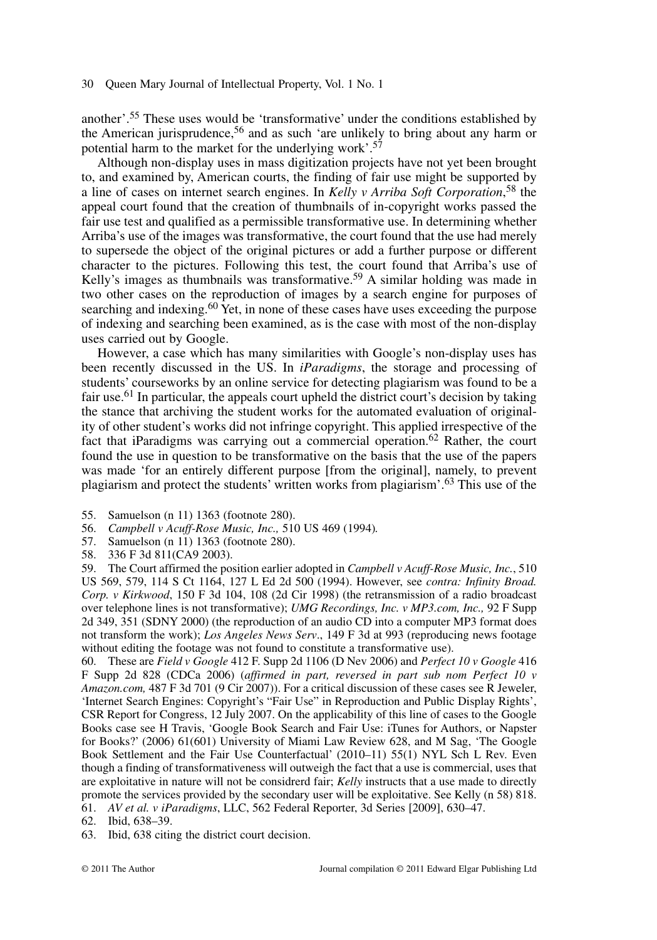another'.55 These uses would be 'transformative' under the conditions established by the American jurisprudence,<sup>56</sup> and as such 'are unlikely to bring about any harm or potential harm to the market for the underlying work'.<sup>57</sup>

Although non-display uses in mass digitization projects have not yet been brought to, and examined by, American courts, the finding of fair use might be supported by a line of cases on internet search engines. In *Kelly v Arriba Soft Corporation*, <sup>58</sup> the appeal court found that the creation of thumbnails of in-copyright works passed the fair use test and qualified as a permissible transformative use. In determining whether Arriba's use of the images was transformative, the court found that the use had merely to supersede the object of the original pictures or add a further purpose or different character to the pictures. Following this test, the court found that Arriba's use of Kelly's images as thumbnails was transformative.<sup>59</sup> A similar holding was made in two other cases on the reproduction of images by a search engine for purposes of searching and indexing.<sup>60</sup> Yet, in none of these cases have uses exceeding the purpose of indexing and searching been examined, as is the case with most of the non-display uses carried out by Google.

However, a case which has many similarities with Google's non-display uses has been recently discussed in the US. In *iParadigms*, the storage and processing of students' courseworks by an online service for detecting plagiarism was found to be a fair use.61 In particular, the appeals court upheld the district court's decision by taking the stance that archiving the student works for the automated evaluation of originality of other student's works did not infringe copyright. This applied irrespective of the fact that iParadigms was carrying out a commercial operation.<sup>62</sup> Rather, the court found the use in question to be transformative on the basis that the use of the papers was made 'for an entirely different purpose [from the original], namely, to prevent plagiarism and protect the students' written works from plagiarism'.63 This use of the

- 55. Samuelson (n 11) 1363 (footnote 280).
- 56. *Campbell v Acuff-Rose Music, Inc.,* 510 US 469 (1994)*.*
- 57. Samuelson (n 11) 1363 (footnote 280).
- 58. 336 F 3d 811(CA9 2003).

59. The Court affirmed the position earlier adopted in *Campbell v Acuff-Rose Music, Inc.*, 510 US 569, 579, 114 S Ct 1164, 127 L Ed 2d 500 (1994). However, see *contra: Infinity Broad. Corp. v Kirkwood*, 150 F 3d 104, 108 (2d Cir 1998) (the retransmission of a radio broadcast over telephone lines is not transformative); *UMG Recordings, Inc. v MP3.com, Inc.,* 92 F Supp 2d 349, 351 (SDNY 2000) (the reproduction of an audio CD into a computer MP3 format does not transform the work); *Los Angeles News Serv*., 149 F 3d at 993 (reproducing news footage without editing the footage was not found to constitute a transformative use).

60. These are *Field v Google* 412 F. Supp 2d 1106 (D Nev 2006) and *Perfect 10 v Google* 416 F Supp 2d 828 (CDCa 2006) (*affirmed in part, reversed in part sub nom Perfect 10 v Amazon.com,* 487 F 3d 701 (9 Cir 2007)). For a critical discussion of these cases see R Jeweler, 'Internet Search Engines: Copyright's "Fair Use" in Reproduction and Public Display Rights', CSR Report for Congress, 12 July 2007. On the applicability of this line of cases to the Google Books case see H Travis, 'Google Book Search and Fair Use: iTunes for Authors, or Napster for Books?' (2006) 61(601) University of Miami Law Review 628, and M Sag, 'The Google Book Settlement and the Fair Use Counterfactual' (2010–11) 55(1) NYL Sch L Rev. Even though a finding of transformativeness will outweigh the fact that a use is commercial, uses that are exploitative in nature will not be considrerd fair; *Kelly* instructs that a use made to directly promote the services provided by the secondary user will be exploitative. See Kelly (n 58) 818. 61. *AV et al. v iParadigms*, LLC, 562 Federal Reporter, 3d Series [2009], 630–47.

- 62. Ibid, 638–39.
- 63. Ibid, 638 citing the district court decision.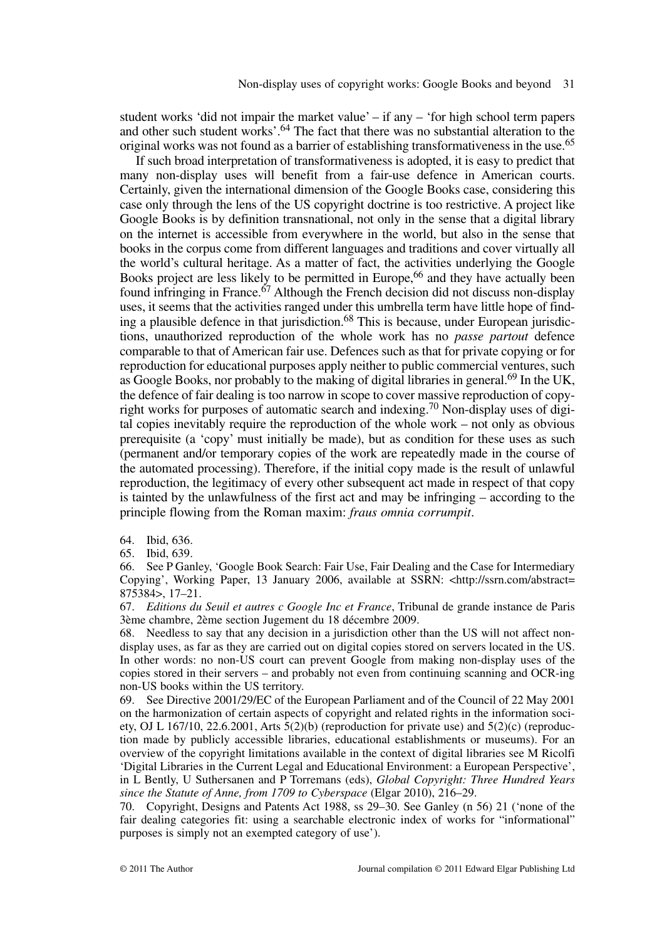student works 'did not impair the market value'  $-$  if any  $-$  'for high school term papers and other such student works'.<sup>64</sup> The fact that there was no substantial alteration to the original works was not found as a barrier of establishing transformativeness in the use.<sup>65</sup>

If such broad interpretation of transformativeness is adopted, it is easy to predict that many non-display uses will benefit from a fair-use defence in American courts. Certainly, given the international dimension of the Google Books case, considering this case only through the lens of the US copyright doctrine is too restrictive. A project like Google Books is by definition transnational, not only in the sense that a digital library on the internet is accessible from everywhere in the world, but also in the sense that books in the corpus come from different languages and traditions and cover virtually all the world's cultural heritage. As a matter of fact, the activities underlying the Google Books project are less likely to be permitted in Europe,<sup>66</sup> and they have actually been found infringing in France.<sup> $67$ </sup> Although the French decision did not discuss non-display uses, it seems that the activities ranged under this umbrella term have little hope of finding a plausible defence in that jurisdiction.<sup>68</sup> This is because, under European jurisdictions, unauthorized reproduction of the whole work has no *passe partout* defence comparable to that of American fair use. Defences such as that for private copying or for reproduction for educational purposes apply neither to public commercial ventures, such as Google Books, nor probably to the making of digital libraries in general.<sup>69</sup> In the UK, the defence of fair dealing is too narrow in scope to cover massive reproduction of copyright works for purposes of automatic search and indexing.70 Non-display uses of digital copies inevitably require the reproduction of the whole work – not only as obvious prerequisite (a 'copy' must initially be made), but as condition for these uses as such (permanent and/or temporary copies of the work are repeatedly made in the course of the automated processing). Therefore, if the initial copy made is the result of unlawful reproduction, the legitimacy of every other subsequent act made in respect of that copy is tainted by the unlawfulness of the first act and may be infringing – according to the principle flowing from the Roman maxim: *fraus omnia corrumpit*.

64. Ibid, 636.

65. Ibid, 639.

66. See P Ganley, 'Google Book Search: Fair Use, Fair Dealing and the Case for Intermediary Copying', Working Paper, 13 January 2006, available at SSRN: <http://ssrn.com/abstract= 875384>, 17–21.

67. *Editions du Seuil et autres c Google Inc et France*, Tribunal de grande instance de Paris 3ème chambre, 2ème section Jugement du 18 décembre 2009.

68. Needless to say that any decision in a jurisdiction other than the US will not affect nondisplay uses, as far as they are carried out on digital copies stored on servers located in the US. In other words: no non-US court can prevent Google from making non-display uses of the copies stored in their servers – and probably not even from continuing scanning and OCR-ing non-US books within the US territory.

69. See Directive 2001/29/EC of the European Parliament and of the Council of 22 May 2001 on the harmonization of certain aspects of copyright and related rights in the information society, OJ L 167/10, 22.6.2001, Arts  $5(2)(b)$  (reproduction for private use) and  $5(2)(c)$  (reproduction made by publicly accessible libraries, educational establishments or museums). For an overview of the copyright limitations available in the context of digital libraries see M Ricolfi 'Digital Libraries in the Current Legal and Educational Environment: a European Perspective', in L Bently, U Suthersanen and P Torremans (eds), *Global Copyright: Three Hundred Years since the Statute of Anne, from 1709 to Cyberspace* (Elgar 2010), 216–29.

70. Copyright, Designs and Patents Act 1988, ss 29–30. See Ganley (n 56) 21 ('none of the fair dealing categories fit: using a searchable electronic index of works for "informational" purposes is simply not an exempted category of use').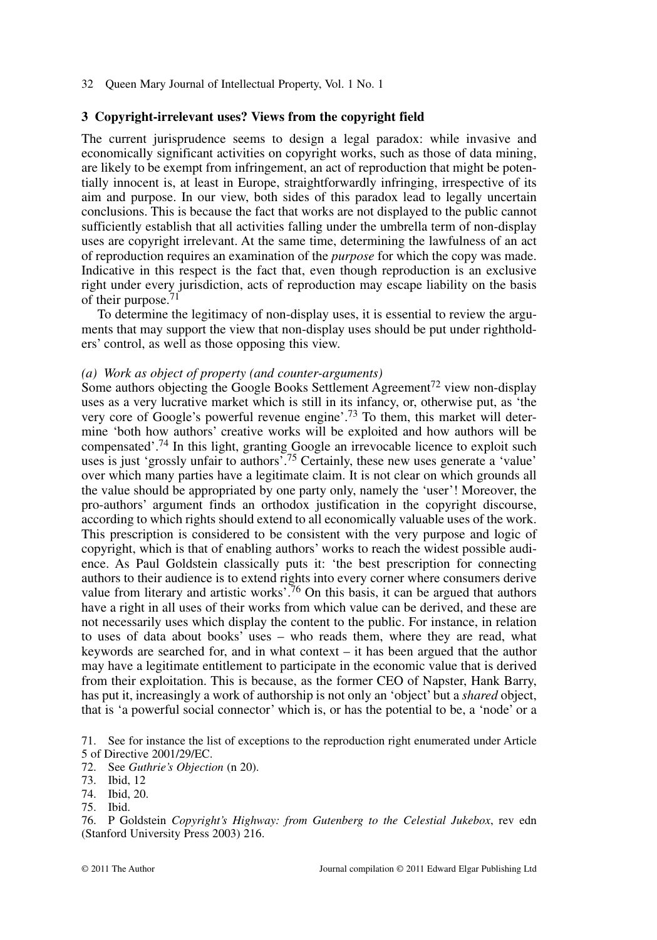## **3 Copyright-irrelevant uses? Views from the copyright field**

The current jurisprudence seems to design a legal paradox: while invasive and economically significant activities on copyright works, such as those of data mining, are likely to be exempt from infringement, an act of reproduction that might be potentially innocent is, at least in Europe, straightforwardly infringing, irrespective of its aim and purpose. In our view, both sides of this paradox lead to legally uncertain conclusions. This is because the fact that works are not displayed to the public cannot sufficiently establish that all activities falling under the umbrella term of non-display uses are copyright irrelevant. At the same time, determining the lawfulness of an act of reproduction requires an examination of the *purpose* for which the copy was made. Indicative in this respect is the fact that, even though reproduction is an exclusive right under every jurisdiction, acts of reproduction may escape liability on the basis of their purpose.

To determine the legitimacy of non-display uses, it is essential to review the arguments that may support the view that non-display uses should be put under rightholders' control, as well as those opposing this view.

## *(a) Work as object of property (and counter-arguments)*

Some authors objecting the Google Books Settlement Agreement<sup>72</sup> view non-display uses as a very lucrative market which is still in its infancy, or, otherwise put, as 'the very core of Google's powerful revenue engine'.73 To them, this market will determine 'both how authors' creative works will be exploited and how authors will be compensated'.74 In this light, granting Google an irrevocable licence to exploit such uses is just 'grossly unfair to authors'.<sup>75</sup> Certainly, these new uses generate a 'value' over which many parties have a legitimate claim. It is not clear on which grounds all the value should be appropriated by one party only, namely the 'user'! Moreover, the pro-authors' argument finds an orthodox justification in the copyright discourse, according to which rights should extend to all economically valuable uses of the work. This prescription is considered to be consistent with the very purpose and logic of copyright, which is that of enabling authors' works to reach the widest possible audience. As Paul Goldstein classically puts it: 'the best prescription for connecting authors to their audience is to extend rights into every corner where consumers derive value from literary and artistic works<sup> $76$ </sup> On this basis, it can be argued that authors have a right in all uses of their works from which value can be derived, and these are not necessarily uses which display the content to the public. For instance, in relation to uses of data about books' uses – who reads them, where they are read, what keywords are searched for, and in what context – it has been argued that the author may have a legitimate entitlement to participate in the economic value that is derived from their exploitation. This is because, as the former CEO of Napster, Hank Barry, has put it, increasingly a work of authorship is not only an 'object' but a *shared* object, that is 'a powerful social connector' which is, or has the potential to be, a 'node' or a

71. See for instance the list of exceptions to the reproduction right enumerated under Article 5 of Directive 2001/29/EC.

76. P Goldstein *Copyright's Highway: from Gutenberg to the Celestial Jukebox*, rev edn (Stanford University Press 2003) 216.

<sup>72.</sup> See *Guthrie's Objection* (n 20).

<sup>73.</sup> Ibid, 12

<sup>74.</sup> Ibid, 20.

<sup>75.</sup> Ibid.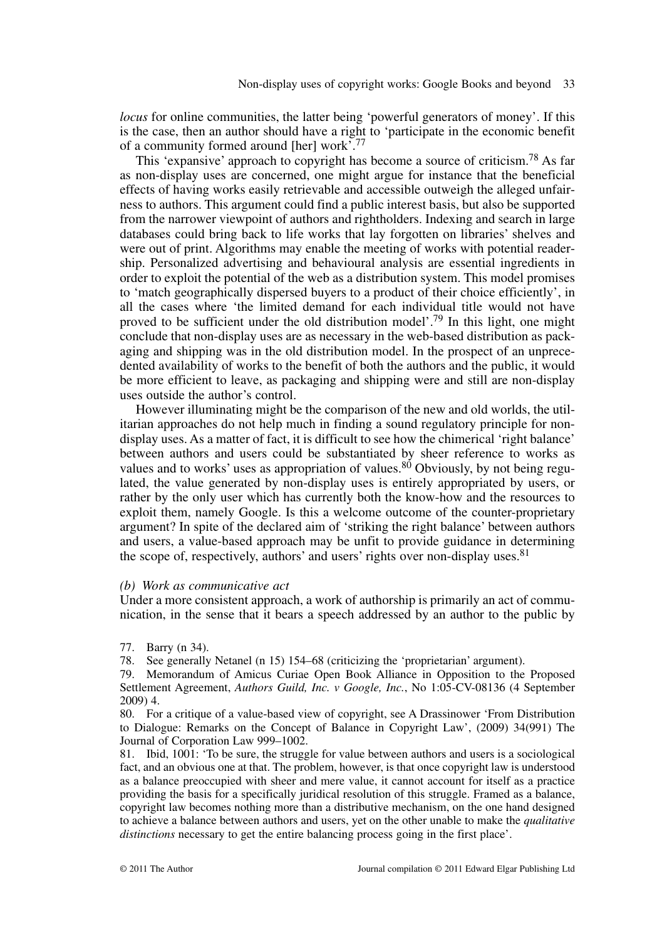*locus* for online communities, the latter being 'powerful generators of money'. If this is the case, then an author should have a right to 'participate in the economic benefit of a community formed around [her] work'.<sup>77</sup>

This 'expansive' approach to copyright has become a source of criticism.<sup>78</sup> As far as non-display uses are concerned, one might argue for instance that the beneficial effects of having works easily retrievable and accessible outweigh the alleged unfairness to authors. This argument could find a public interest basis, but also be supported from the narrower viewpoint of authors and rightholders. Indexing and search in large databases could bring back to life works that lay forgotten on libraries' shelves and were out of print. Algorithms may enable the meeting of works with potential readership. Personalized advertising and behavioural analysis are essential ingredients in order to exploit the potential of the web as a distribution system. This model promises to 'match geographically dispersed buyers to a product of their choice efficiently', in all the cases where 'the limited demand for each individual title would not have proved to be sufficient under the old distribution model'.79 In this light, one might conclude that non-display uses are as necessary in the web-based distribution as packaging and shipping was in the old distribution model. In the prospect of an unprecedented availability of works to the benefit of both the authors and the public, it would be more efficient to leave, as packaging and shipping were and still are non-display uses outside the author's control.

However illuminating might be the comparison of the new and old worlds, the utilitarian approaches do not help much in finding a sound regulatory principle for nondisplay uses. As a matter of fact, it is difficult to see how the chimerical 'right balance' between authors and users could be substantiated by sheer reference to works as values and to works' uses as appropriation of values.<sup>80</sup> Obviously, by not being regulated, the value generated by non-display uses is entirely appropriated by users, or rather by the only user which has currently both the know-how and the resources to exploit them, namely Google. Is this a welcome outcome of the counter-proprietary argument? In spite of the declared aim of 'striking the right balance' between authors and users, a value-based approach may be unfit to provide guidance in determining the scope of, respectively, authors' and users' rights over non-display uses.  $81$ 

## *(b) Work as communicative act*

Under a more consistent approach, a work of authorship is primarily an act of communication, in the sense that it bears a speech addressed by an author to the public by

77. Barry (n 34).

78. See generally Netanel (n 15) 154–68 (criticizing the 'proprietarian' argument).

80. For a critique of a value-based view of copyright, see A Drassinower 'From Distribution to Dialogue: Remarks on the Concept of Balance in Copyright Law', (2009) 34(991) The Journal of Corporation Law 999–1002.

81. Ibid, 1001: 'To be sure, the struggle for value between authors and users is a sociological fact, and an obvious one at that. The problem, however, is that once copyright law is understood as a balance preoccupied with sheer and mere value, it cannot account for itself as a practice providing the basis for a specifically juridical resolution of this struggle. Framed as a balance, copyright law becomes nothing more than a distributive mechanism, on the one hand designed to achieve a balance between authors and users, yet on the other unable to make the *qualitative distinctions* necessary to get the entire balancing process going in the first place'.

<sup>79.</sup> Memorandum of Amicus Curiae Open Book Alliance in Opposition to the Proposed Settlement Agreement, *Authors Guild, Inc. v Google, Inc.*, No 1:05-CV-08136 (4 September 2009) 4.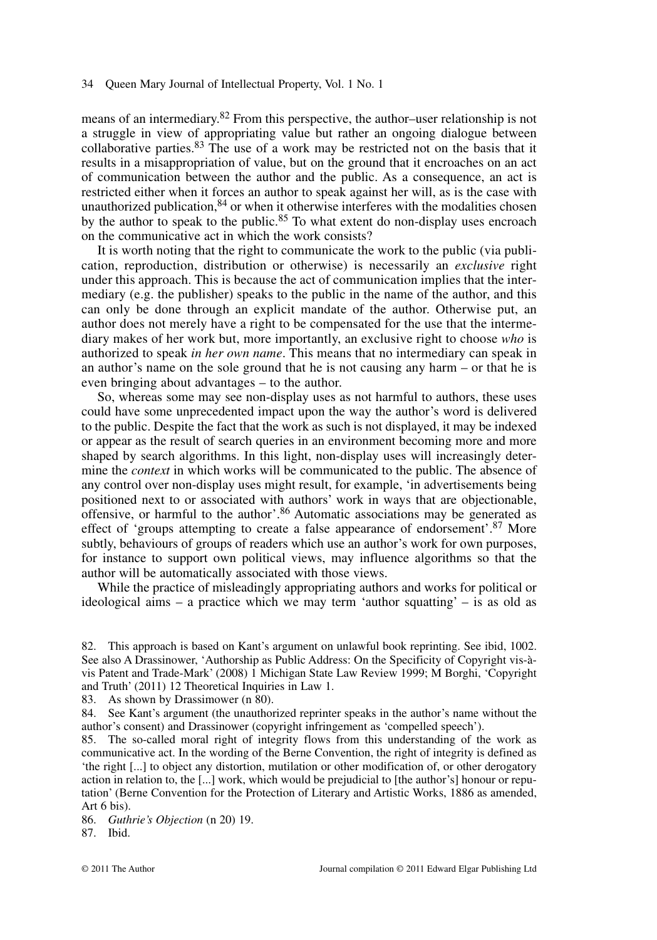means of an intermediary.82 From this perspective, the author–user relationship is not a struggle in view of appropriating value but rather an ongoing dialogue between collaborative parties. $83$  The use of a work may be restricted not on the basis that it results in a misappropriation of value, but on the ground that it encroaches on an act of communication between the author and the public. As a consequence, an act is restricted either when it forces an author to speak against her will, as is the case with unauthorized publication, $84$  or when it otherwise interferes with the modalities chosen by the author to speak to the public.<sup>85</sup> To what extent do non-display uses encroach on the communicative act in which the work consists?

It is worth noting that the right to communicate the work to the public (via publication, reproduction, distribution or otherwise) is necessarily an *exclusive* right under this approach. This is because the act of communication implies that the intermediary (e.g. the publisher) speaks to the public in the name of the author, and this can only be done through an explicit mandate of the author. Otherwise put, an author does not merely have a right to be compensated for the use that the intermediary makes of her work but, more importantly, an exclusive right to choose *who* is authorized to speak *in her own name*. This means that no intermediary can speak in an author's name on the sole ground that he is not causing any harm – or that he is even bringing about advantages – to the author.

So, whereas some may see non-display uses as not harmful to authors, these uses could have some unprecedented impact upon the way the author's word is delivered to the public. Despite the fact that the work as such is not displayed, it may be indexed or appear as the result of search queries in an environment becoming more and more shaped by search algorithms. In this light, non-display uses will increasingly determine the *context* in which works will be communicated to the public. The absence of any control over non-display uses might result, for example, 'in advertisements being positioned next to or associated with authors' work in ways that are objectionable, offensive, or harmful to the author'.<sup>86</sup> Automatic associations may be generated as effect of 'groups attempting to create a false appearance of endorsement'.<sup>87</sup> More subtly, behaviours of groups of readers which use an author's work for own purposes, for instance to support own political views, may influence algorithms so that the author will be automatically associated with those views.

While the practice of misleadingly appropriating authors and works for political or ideological aims – a practice which we may term 'author squatting' – is as old as

83. As shown by Drassimower (n 80).

84. See Kant's argument (the unauthorized reprinter speaks in the author's name without the author's consent) and Drassinower (copyright infringement as 'compelled speech').

85. The so-called moral right of integrity flows from this understanding of the work as communicative act. In the wording of the Berne Convention, the right of integrity is defined as 'the right [...] to object any distortion, mutilation or other modification of, or other derogatory action in relation to, the [...] work, which would be prejudicial to [the author's] honour or reputation' (Berne Convention for the Protection of Literary and Artistic Works, 1886 as amended, Art 6 bis).

86. *Guthrie's Objection* (n 20) 19.

87. Ibid.

<sup>82.</sup> This approach is based on Kant's argument on unlawful book reprinting. See ibid, 1002. See also A Drassinower, 'Authorship as Public Address: On the Specificity of Copyright vis-àvis Patent and Trade-Mark' (2008) 1 Michigan State Law Review 1999; M Borghi, 'Copyright and Truth' (2011) 12 Theoretical Inquiries in Law 1.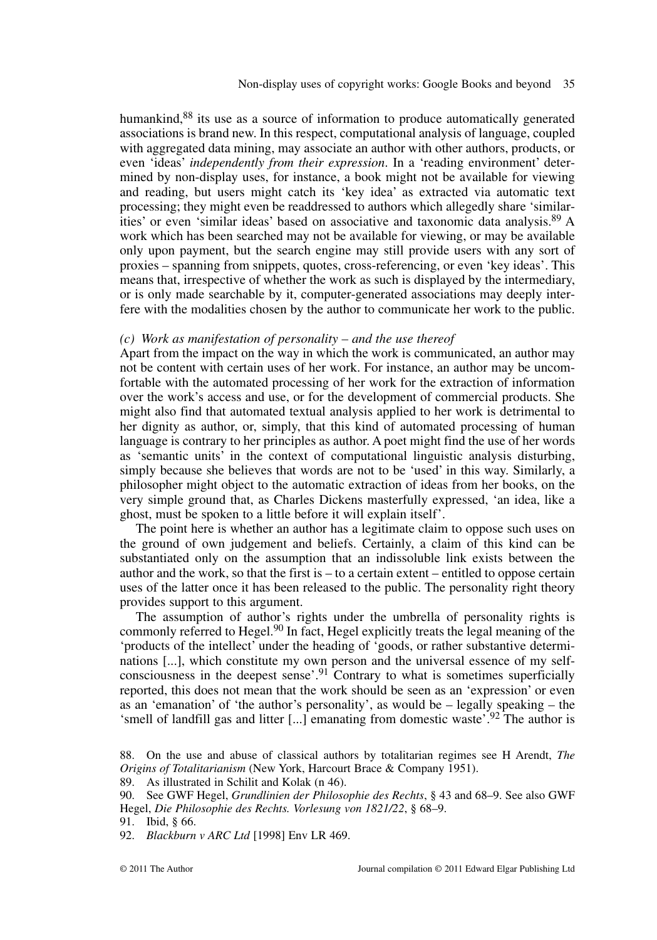humankind,<sup>88</sup> its use as a source of information to produce automatically generated associations is brand new. In this respect, computational analysis of language, coupled with aggregated data mining, may associate an author with other authors, products, or even 'ideas' *independently from their expression*. In a 'reading environment' determined by non-display uses, for instance, a book might not be available for viewing and reading, but users might catch its 'key idea' as extracted via automatic text processing; they might even be readdressed to authors which allegedly share 'similarities' or even 'similar ideas' based on associative and taxonomic data analysis.89 A work which has been searched may not be available for viewing, or may be available only upon payment, but the search engine may still provide users with any sort of proxies – spanning from snippets, quotes, cross-referencing, or even 'key ideas'. This means that, irrespective of whether the work as such is displayed by the intermediary, or is only made searchable by it, computer-generated associations may deeply interfere with the modalities chosen by the author to communicate her work to the public.

## *(c) Work as manifestation of personality – and the use thereof*

Apart from the impact on the way in which the work is communicated, an author may not be content with certain uses of her work. For instance, an author may be uncomfortable with the automated processing of her work for the extraction of information over the work's access and use, or for the development of commercial products. She might also find that automated textual analysis applied to her work is detrimental to her dignity as author, or, simply, that this kind of automated processing of human language is contrary to her principles as author. A poet might find the use of her words as 'semantic units' in the context of computational linguistic analysis disturbing, simply because she believes that words are not to be 'used' in this way. Similarly, a philosopher might object to the automatic extraction of ideas from her books, on the very simple ground that, as Charles Dickens masterfully expressed, 'an idea, like a ghost, must be spoken to a little before it will explain itself'.

The point here is whether an author has a legitimate claim to oppose such uses on the ground of own judgement and beliefs. Certainly, a claim of this kind can be substantiated only on the assumption that an indissoluble link exists between the author and the work, so that the first is – to a certain extent – entitled to oppose certain uses of the latter once it has been released to the public. The personality right theory provides support to this argument.

The assumption of author's rights under the umbrella of personality rights is commonly referred to Hegel.<sup>90</sup> In fact, Hegel explicitly treats the legal meaning of the 'products of the intellect' under the heading of 'goods, or rather substantive determinations [...], which constitute my own person and the universal essence of my selfconsciousness in the deepest sense<sup> $91$ </sup> Contrary to what is sometimes superficially reported, this does not mean that the work should be seen as an 'expression' or even as an 'emanation' of 'the author's personality', as would be – legally speaking – the 'smell of landfill gas and litter [...] emanating from domestic waste'.<sup>92</sup> The author is

91. Ibid, § 66.

92. *Blackburn v ARC Ltd* [1998] Env LR 469.

<sup>88.</sup> On the use and abuse of classical authors by totalitarian regimes see H Arendt, *The Origins of Totalitarianism* (New York, Harcourt Brace & Company 1951).

<sup>89.</sup> As illustrated in Schilit and Kolak (n 46).

<sup>90.</sup> See GWF Hegel, *Grundlinien der Philosophie des Rechts*, § 43 and 68–9. See also GWF Hegel, *Die Philosophie des Rechts. Vorlesung von 1821/22*, § 68–9.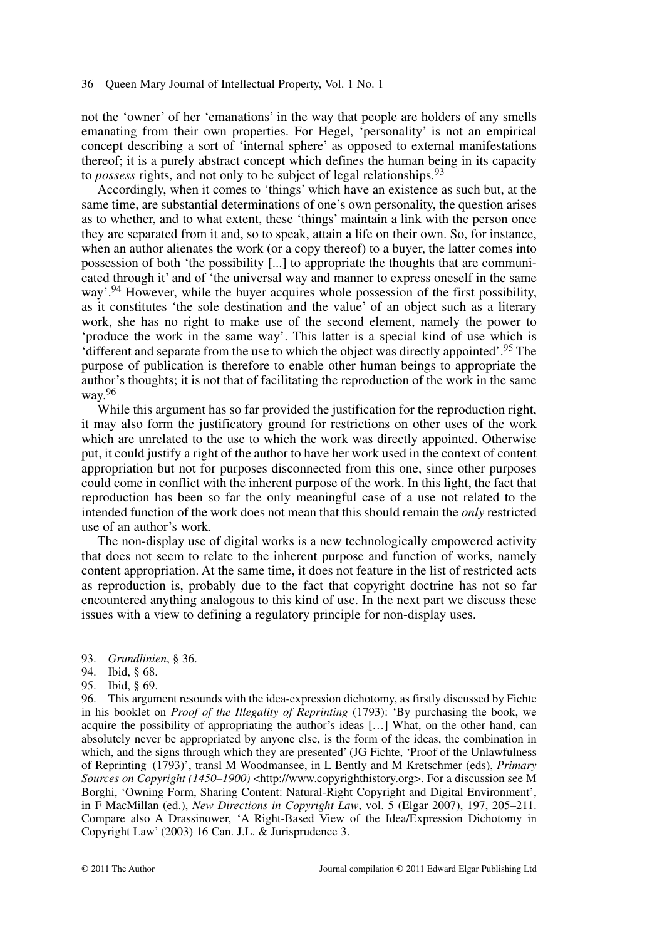not the 'owner' of her 'emanations' in the way that people are holders of any smells emanating from their own properties. For Hegel, 'personality' is not an empirical concept describing a sort of 'internal sphere' as opposed to external manifestations thereof; it is a purely abstract concept which defines the human being in its capacity to *possess* rights, and not only to be subject of legal relationships.<sup>93</sup>

Accordingly, when it comes to 'things' which have an existence as such but, at the same time, are substantial determinations of one's own personality, the question arises as to whether, and to what extent, these 'things' maintain a link with the person once they are separated from it and, so to speak, attain a life on their own. So, for instance, when an author alienates the work (or a copy thereof) to a buyer, the latter comes into possession of both 'the possibility [...] to appropriate the thoughts that are communicated through it' and of 'the universal way and manner to express oneself in the same way'.94 However, while the buyer acquires whole possession of the first possibility, as it constitutes 'the sole destination and the value' of an object such as a literary work, she has no right to make use of the second element, namely the power to 'produce the work in the same way'. This latter is a special kind of use which is 'different and separate from the use to which the object was directly appointed'.95 The purpose of publication is therefore to enable other human beings to appropriate the author's thoughts; it is not that of facilitating the reproduction of the work in the same way. 96

While this argument has so far provided the justification for the reproduction right, it may also form the justificatory ground for restrictions on other uses of the work which are unrelated to the use to which the work was directly appointed. Otherwise put, it could justify a right of the author to have her work used in the context of content appropriation but not for purposes disconnected from this one, since other purposes could come in conflict with the inherent purpose of the work. In this light, the fact that reproduction has been so far the only meaningful case of a use not related to the intended function of the work does not mean that this should remain the *only* restricted use of an author's work.

The non-display use of digital works is a new technologically empowered activity that does not seem to relate to the inherent purpose and function of works, namely content appropriation. At the same time, it does not feature in the list of restricted acts as reproduction is, probably due to the fact that copyright doctrine has not so far encountered anything analogous to this kind of use. In the next part we discuss these issues with a view to defining a regulatory principle for non-display uses.

- 93. *Grundlinien*, § 36.
- 94. Ibid, § 68.
- 95. Ibid, § 69.

96. This argument resounds with the idea-expression dichotomy, as firstly discussed by Fichte in his booklet on *Proof of the Illegality of Reprinting* (1793): 'By purchasing the book, we acquire the possibility of appropriating the author's ideas […] What, on the other hand, can absolutely never be appropriated by anyone else, is the form of the ideas, the combination in which, and the signs through which they are presented' (JG Fichte, 'Proof of the Unlawfulness of Reprinting (1793)', transl M Woodmansee, in L Bently and M Kretschmer (eds), *Primary Sources on Copyright (1450–1900)* <http://www.copyrighthistory.org>. For a discussion see M Borghi, 'Owning Form, Sharing Content: Natural-Right Copyright and Digital Environment', in F MacMillan (ed.), *New Directions in Copyright Law*, vol. 5 (Elgar 2007), 197, 205–211. Compare also A Drassinower, 'A Right-Based View of the Idea/Expression Dichotomy in Copyright Law' (2003) 16 Can. J.L. & Jurisprudence 3.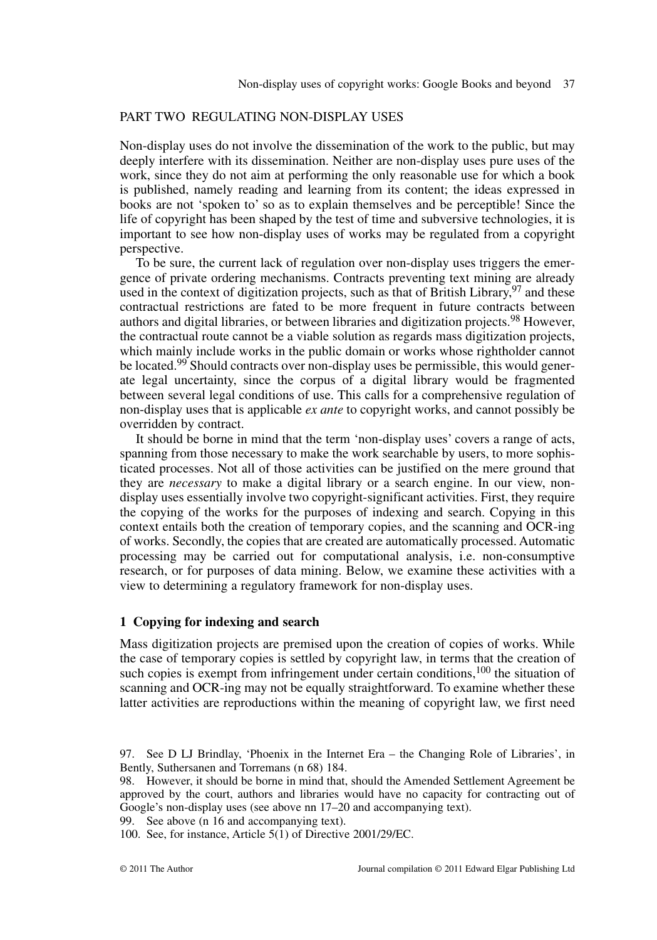# PART TWO REGULATING NON-DISPLAY USES

Non-display uses do not involve the dissemination of the work to the public, but may deeply interfere with its dissemination. Neither are non-display uses pure uses of the work, since they do not aim at performing the only reasonable use for which a book is published, namely reading and learning from its content; the ideas expressed in books are not 'spoken to' so as to explain themselves and be perceptible! Since the life of copyright has been shaped by the test of time and subversive technologies, it is important to see how non-display uses of works may be regulated from a copyright perspective.

To be sure, the current lack of regulation over non-display uses triggers the emergence of private ordering mechanisms. Contracts preventing text mining are already used in the context of digitization projects, such as that of British Library,  $97$  and these contractual restrictions are fated to be more frequent in future contracts between authors and digital libraries, or between libraries and digitization projects.<sup>98</sup> However, the contractual route cannot be a viable solution as regards mass digitization projects, which mainly include works in the public domain or works whose rightholder cannot be located.<sup>99</sup> Should contracts over non-display uses be permissible, this would generate legal uncertainty, since the corpus of a digital library would be fragmented between several legal conditions of use. This calls for a comprehensive regulation of non-display uses that is applicable *ex ante* to copyright works, and cannot possibly be overridden by contract.

It should be borne in mind that the term 'non-display uses' covers a range of acts, spanning from those necessary to make the work searchable by users, to more sophisticated processes. Not all of those activities can be justified on the mere ground that they are *necessary* to make a digital library or a search engine. In our view, nondisplay uses essentially involve two copyright-significant activities. First, they require the copying of the works for the purposes of indexing and search. Copying in this context entails both the creation of temporary copies, and the scanning and OCR-ing of works. Secondly, the copies that are created are automatically processed. Automatic processing may be carried out for computational analysis, i.e. non-consumptive research, or for purposes of data mining. Below, we examine these activities with a view to determining a regulatory framework for non-display uses.

## **1 Copying for indexing and search**

Mass digitization projects are premised upon the creation of copies of works. While the case of temporary copies is settled by copyright law, in terms that the creation of such copies is exempt from infringement under certain conditions,  $100$  the situation of scanning and OCR-ing may not be equally straightforward. To examine whether these latter activities are reproductions within the meaning of copyright law, we first need

99. See above (n 16 and accompanying text).

100. See, for instance, Article 5(1) of Directive 2001/29/EC.

<sup>97.</sup> See D LJ Brindlay, 'Phoenix in the Internet Era – the Changing Role of Libraries', in Bently, Suthersanen and Torremans (n 68) 184.

<sup>98.</sup> However, it should be borne in mind that, should the Amended Settlement Agreement be approved by the court, authors and libraries would have no capacity for contracting out of Google's non-display uses (see above nn 17–20 and accompanying text).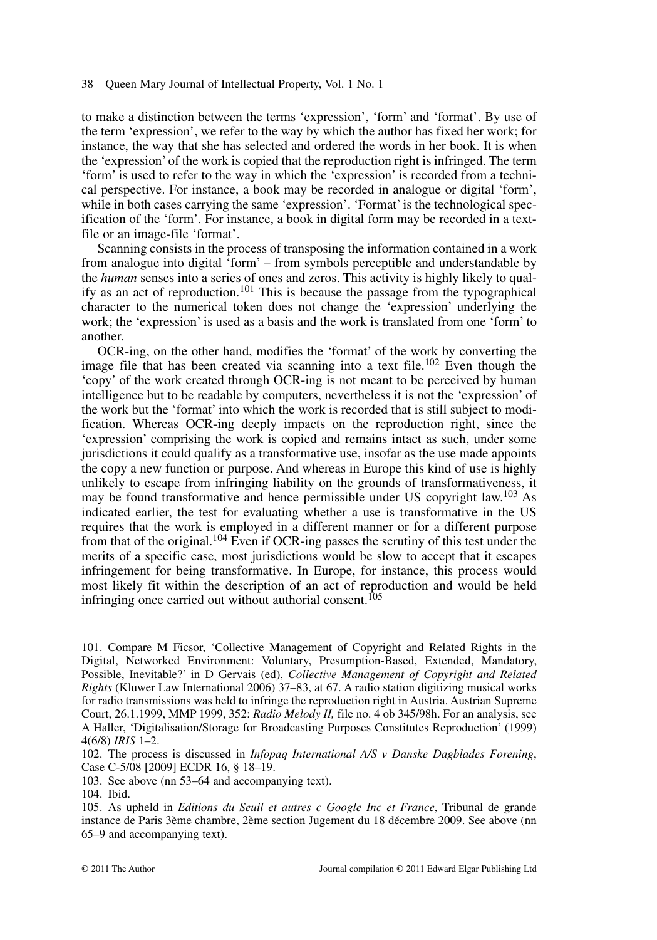to make a distinction between the terms 'expression', 'form' and 'format'. By use of the term 'expression', we refer to the way by which the author has fixed her work; for instance, the way that she has selected and ordered the words in her book. It is when the 'expression' of the work is copied that the reproduction right is infringed. The term 'form' is used to refer to the way in which the 'expression' is recorded from a technical perspective. For instance, a book may be recorded in analogue or digital 'form', while in both cases carrying the same 'expression'. 'Format' is the technological specification of the 'form'. For instance, a book in digital form may be recorded in a textfile or an image-file 'format'.

Scanning consists in the process of transposing the information contained in a work from analogue into digital 'form' – from symbols perceptible and understandable by the *human* senses into a series of ones and zeros. This activity is highly likely to qualify as an act of reproduction.<sup>101</sup> This is because the passage from the typographical character to the numerical token does not change the 'expression' underlying the work; the 'expression' is used as a basis and the work is translated from one 'form' to another.

OCR-ing, on the other hand, modifies the 'format' of the work by converting the image file that has been created via scanning into a text file.<sup>102</sup> Even though the 'copy' of the work created through OCR-ing is not meant to be perceived by human intelligence but to be readable by computers, nevertheless it is not the 'expression' of the work but the 'format' into which the work is recorded that is still subject to modification. Whereas OCR-ing deeply impacts on the reproduction right, since the 'expression' comprising the work is copied and remains intact as such, under some jurisdictions it could qualify as a transformative use, insofar as the use made appoints the copy a new function or purpose. And whereas in Europe this kind of use is highly unlikely to escape from infringing liability on the grounds of transformativeness, it may be found transformative and hence permissible under US copyright law.<sup>103</sup> As indicated earlier, the test for evaluating whether a use is transformative in the US requires that the work is employed in a different manner or for a different purpose from that of the original.104 Even if OCR-ing passes the scrutiny of this test under the merits of a specific case, most jurisdictions would be slow to accept that it escapes infringement for being transformative. In Europe, for instance, this process would most likely fit within the description of an act of reproduction and would be held infringing once carried out without authorial consent.<sup>105</sup>

102. The process is discussed in *Infopaq International A/S v Danske Dagblades Forening*, Case C-5/08 [2009] ECDR 16, § 18–19.

103. See above (nn 53–64 and accompanying text).

105. As upheld in *Editions du Seuil et autres c Google Inc et France*, Tribunal de grande instance de Paris 3ème chambre, 2ème section Jugement du 18 décembre 2009. See above (nn 65–9 and accompanying text).

<sup>101.</sup> Compare M Ficsor, 'Collective Management of Copyright and Related Rights in the Digital, Networked Environment: Voluntary, Presumption-Based, Extended, Mandatory, Possible, Inevitable?' in D Gervais (ed), *Collective Management of Copyright and Related Rights* (Kluwer Law International 2006) 37–83, at 67. A radio station digitizing musical works for radio transmissions was held to infringe the reproduction right in Austria. Austrian Supreme Court, 26.1.1999, MMP 1999, 352: *Radio Melody II,* file no. 4 ob 345/98h. For an analysis, see A Haller, 'Digitalisation/Storage for Broadcasting Purposes Constitutes Reproduction' (1999) 4(6/8) *IRIS* 1–2.

<sup>104.</sup> Ibid.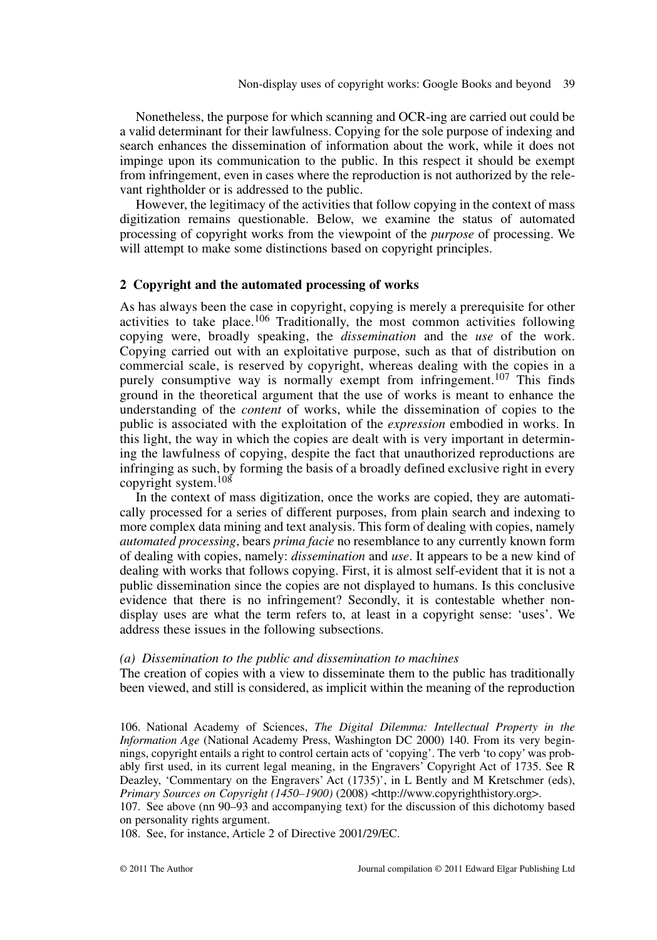Nonetheless, the purpose for which scanning and OCR-ing are carried out could be a valid determinant for their lawfulness. Copying for the sole purpose of indexing and search enhances the dissemination of information about the work, while it does not impinge upon its communication to the public. In this respect it should be exempt from infringement, even in cases where the reproduction is not authorized by the relevant rightholder or is addressed to the public.

However, the legitimacy of the activities that follow copying in the context of mass digitization remains questionable. Below, we examine the status of automated processing of copyright works from the viewpoint of the *purpose* of processing. We will attempt to make some distinctions based on copyright principles.

## **2 Copyright and the automated processing of works**

As has always been the case in copyright, copying is merely a prerequisite for other activities to take place.<sup>106</sup> Traditionally, the most common activities following copying were, broadly speaking, the *dissemination* and the *use* of the work. Copying carried out with an exploitative purpose, such as that of distribution on commercial scale, is reserved by copyright, whereas dealing with the copies in a purely consumptive way is normally exempt from infringement.<sup>107</sup> This finds ground in the theoretical argument that the use of works is meant to enhance the understanding of the *content* of works, while the dissemination of copies to the public is associated with the exploitation of the *expression* embodied in works. In this light, the way in which the copies are dealt with is very important in determining the lawfulness of copying, despite the fact that unauthorized reproductions are infringing as such, by forming the basis of a broadly defined exclusive right in every copyright system.<sup>108</sup>

In the context of mass digitization, once the works are copied, they are automatically processed for a series of different purposes, from plain search and indexing to more complex data mining and text analysis. This form of dealing with copies, namely *automated processing*, bears *prima facie* no resemblance to any currently known form of dealing with copies, namely: *dissemination* and *use*. It appears to be a new kind of dealing with works that follows copying. First, it is almost self-evident that it is not a public dissemination since the copies are not displayed to humans. Is this conclusive evidence that there is no infringement? Secondly, it is contestable whether nondisplay uses are what the term refers to, at least in a copyright sense: 'uses'. We address these issues in the following subsections.

## *(a) Dissemination to the public and dissemination to machines*

The creation of copies with a view to disseminate them to the public has traditionally been viewed, and still is considered, as implicit within the meaning of the reproduction

106. National Academy of Sciences, *The Digital Dilemma: Intellectual Property in the Information Age* (National Academy Press, Washington DC 2000) 140. From its very beginnings, copyright entails a right to control certain acts of 'copying'. The verb 'to copy' was probably first used, in its current legal meaning, in the Engravers' Copyright Act of 1735. See R Deazley, 'Commentary on the Engravers' Act (1735)', in L Bently and M Kretschmer (eds), *Primary Sources on Copyright (1450–1900)* (2008) <http://www.copyrighthistory.org>.

107. See above (nn 90–93 and accompanying text) for the discussion of this dichotomy based on personality rights argument.

108. See, for instance, Article 2 of Directive 2001/29/EC.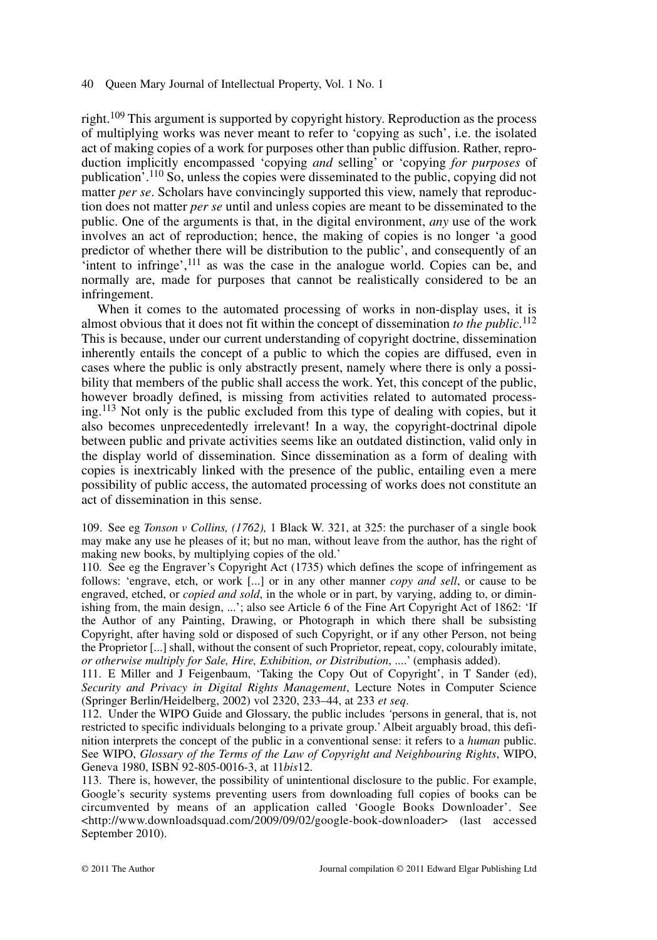right.<sup>109</sup> This argument is supported by copyright history. Reproduction as the process of multiplying works was never meant to refer to 'copying as such', i.e. the isolated act of making copies of a work for purposes other than public diffusion. Rather, reproduction implicitly encompassed 'copying *and* selling' or 'copying *for purposes* of publication'.110 So, unless the copies were disseminated to the public, copying did not matter *per se*. Scholars have convincingly supported this view, namely that reproduction does not matter *per se* until and unless copies are meant to be disseminated to the public. One of the arguments is that, in the digital environment, *any* use of the work involves an act of reproduction; hence, the making of copies is no longer 'a good predictor of whether there will be distribution to the public', and consequently of an  $\cdot$ intent to infringe',  $^{111}$  as was the case in the analogue world. Copies can be, and normally are, made for purposes that cannot be realistically considered to be an infringement.

When it comes to the automated processing of works in non-display uses, it is almost obvious that it does not fit within the concept of dissemination *to the public*. 112 This is because, under our current understanding of copyright doctrine, dissemination inherently entails the concept of a public to which the copies are diffused, even in cases where the public is only abstractly present, namely where there is only a possibility that members of the public shall access the work. Yet, this concept of the public, however broadly defined, is missing from activities related to automated processing.<sup>113</sup> Not only is the public excluded from this type of dealing with copies, but it also becomes unprecedentedly irrelevant! In a way, the copyright-doctrinal dipole between public and private activities seems like an outdated distinction, valid only in the display world of dissemination. Since dissemination as a form of dealing with copies is inextricably linked with the presence of the public, entailing even a mere possibility of public access, the automated processing of works does not constitute an act of dissemination in this sense.

109. See eg *Tonson v Collins, (1762),* 1 Black W. 321, at 325: the purchaser of a single book may make any use he pleases of it; but no man, without leave from the author, has the right of making new books, by multiplying copies of the old.'

110. See eg the Engraver's Copyright Act (1735) which defines the scope of infringement as follows: 'engrave, etch, or work [...] or in any other manner *copy and sell*, or cause to be engraved, etched, or *copied and sold*, in the whole or in part, by varying, adding to, or diminishing from, the main design, ...'; also see Article 6 of the Fine Art Copyright Act of 1862: 'If the Author of any Painting, Drawing, or Photograph in which there shall be subsisting Copyright, after having sold or disposed of such Copyright, or if any other Person, not being the Proprietor [...] shall, without the consent of such Proprietor, repeat, copy, colourably imitate, *or otherwise multiply for Sale, Hire, Exhibition, or Distribution*, ....' (emphasis added).

111. E Miller and J Feigenbaum, 'Taking the Copy Out of Copyright', in T Sander (ed), *Security and Privacy in Digital Rights Management*, Lecture Notes in Computer Science (Springer Berlin/Heidelberg, 2002) vol 2320, 233–44, at 233 *et seq*.

112. Under the WIPO Guide and Glossary, the public includes *'*persons in general, that is, not restricted to specific individuals belonging to a private group.' Albeit arguably broad, this definition interprets the concept of the public in a conventional sense: it refers to a *human* public. See WIPO, *Glossary of the Terms of the Law of Copyright and Neighbouring Rights*, WIPO, Geneva 1980, ISBN 92-805-0016-3, at 11*bis*12.

113. There is, however, the possibility of unintentional disclosure to the public. For example, Google's security systems preventing users from downloading full copies of books can be circumvented by means of an application called 'Google Books Downloader'. See <http://www.downloadsquad.com/2009/09/02/google-book-downloader> (last accessed September 2010).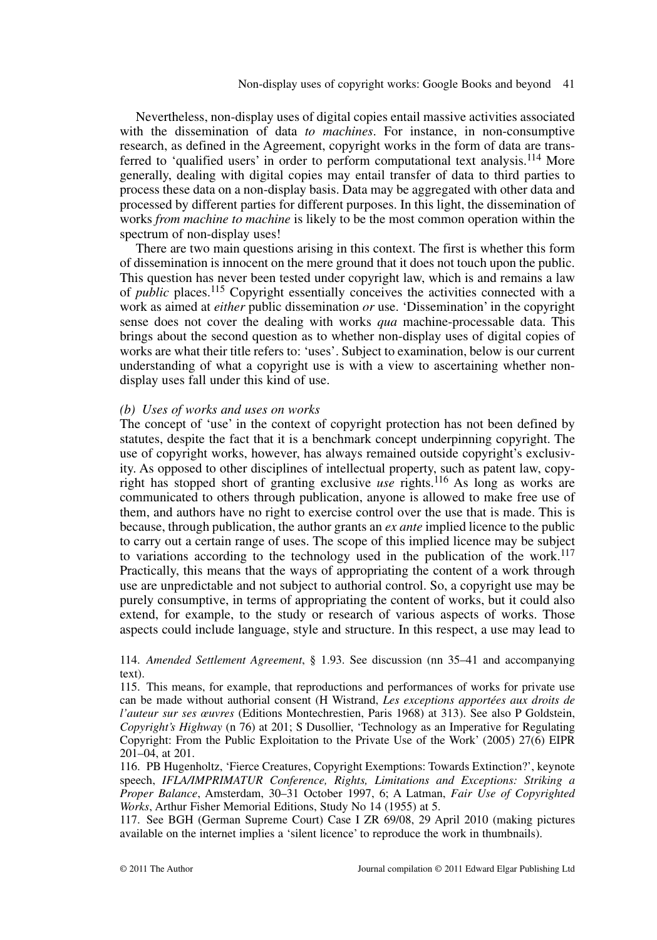Nevertheless, non-display uses of digital copies entail massive activities associated with the dissemination of data *to machines*. For instance, in non-consumptive research, as defined in the Agreement, copyright works in the form of data are transferred to 'qualified users' in order to perform computational text analysis.<sup>114</sup> More generally, dealing with digital copies may entail transfer of data to third parties to process these data on a non-display basis. Data may be aggregated with other data and processed by different parties for different purposes. In this light, the dissemination of works *from machine to machine* is likely to be the most common operation within the spectrum of non-display uses!

There are two main questions arising in this context. The first is whether this form of dissemination is innocent on the mere ground that it does not touch upon the public. This question has never been tested under copyright law, which is and remains a law of *public* places.115 Copyright essentially conceives the activities connected with a work as aimed at *either* public dissemination *or* use. 'Dissemination' in the copyright sense does not cover the dealing with works *qua* machine-processable data. This brings about the second question as to whether non-display uses of digital copies of works are what their title refers to: 'uses'. Subject to examination, below is our current understanding of what a copyright use is with a view to ascertaining whether nondisplay uses fall under this kind of use.

## *(b) Uses of works and uses on works*

The concept of 'use' in the context of copyright protection has not been defined by statutes, despite the fact that it is a benchmark concept underpinning copyright. The use of copyright works, however, has always remained outside copyright's exclusivity. As opposed to other disciplines of intellectual property, such as patent law, copyright has stopped short of granting exclusive *use* rights.116 As long as works are communicated to others through publication, anyone is allowed to make free use of them, and authors have no right to exercise control over the use that is made. This is because, through publication, the author grants an *ex ante* implied licence to the public to carry out a certain range of uses. The scope of this implied licence may be subject to variations according to the technology used in the publication of the work.<sup>117</sup> Practically, this means that the ways of appropriating the content of a work through use are unpredictable and not subject to authorial control. So, a copyright use may be purely consumptive, in terms of appropriating the content of works, but it could also extend, for example, to the study or research of various aspects of works. Those aspects could include language, style and structure. In this respect, a use may lead to

114. *Amended Settlement Agreement*, § 1.93. See discussion (nn 35–41 and accompanying text).

115. This means, for example, that reproductions and performances of works for private use can be made without authorial consent (H Wistrand, *Les exceptions apportées aux droits de l'auteur sur ses œuvres* (Editions Montechrestien, Paris 1968) at 313). See also P Goldstein, *Copyright's Highway* (n 76) at 201; S Dusollier, 'Technology as an Imperative for Regulating Copyright: From the Public Exploitation to the Private Use of the Work' (2005) 27(6) EIPR 201–04, at 201.

116. PB Hugenholtz, 'Fierce Creatures, Copyright Exemptions: Towards Extinction?', keynote speech, *IFLA/IMPRIMATUR Conference, Rights, Limitations and Exceptions: Striking a Proper Balance*, Amsterdam, 30–31 October 1997, 6; A Latman, *Fair Use of Copyrighted Works*, Arthur Fisher Memorial Editions, Study No 14 (1955) at 5.

117. See BGH (German Supreme Court) Case I ZR 69/08, 29 April 2010 (making pictures available on the internet implies a 'silent licence' to reproduce the work in thumbnails).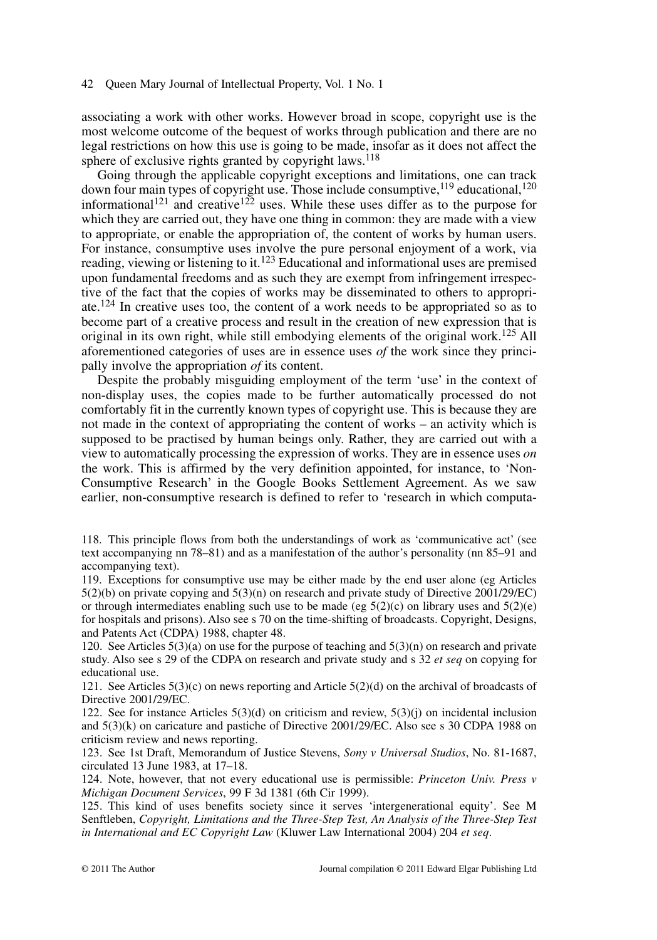associating a work with other works. However broad in scope, copyright use is the most welcome outcome of the bequest of works through publication and there are no legal restrictions on how this use is going to be made, insofar as it does not affect the sphere of exclusive rights granted by copyright laws.<sup>118</sup>

Going through the applicable copyright exceptions and limitations, one can track down four main types of copyright use. Those include consumptive,  $^{119}$  educational,  $^{120}$ informational<sup>121</sup> and creative<sup>122</sup> uses. While these uses differ as to the purpose for which they are carried out, they have one thing in common: they are made with a view to appropriate, or enable the appropriation of, the content of works by human users. For instance, consumptive uses involve the pure personal enjoyment of a work, via reading, viewing or listening to it.<sup>123</sup> Educational and informational uses are premised upon fundamental freedoms and as such they are exempt from infringement irrespective of the fact that the copies of works may be disseminated to others to appropriate.<sup>124</sup> In creative uses too, the content of a work needs to be appropriated so as to become part of a creative process and result in the creation of new expression that is original in its own right, while still embodying elements of the original work.<sup>125</sup> All aforementioned categories of uses are in essence uses *of* the work since they principally involve the appropriation *of* its content.

Despite the probably misguiding employment of the term 'use' in the context of non-display uses, the copies made to be further automatically processed do not comfortably fit in the currently known types of copyright use. This is because they are not made in the context of appropriating the content of works – an activity which is supposed to be practised by human beings only. Rather, they are carried out with a view to automatically processing the expression of works. They are in essence uses *on* the work. This is affirmed by the very definition appointed, for instance, to 'Non-Consumptive Research' in the Google Books Settlement Agreement. As we saw earlier, non-consumptive research is defined to refer to 'research in which computa-

118. This principle flows from both the understandings of work as 'communicative act' (see text accompanying nn 78–81) and as a manifestation of the author's personality (nn 85–91 and accompanying text).

119. Exceptions for consumptive use may be either made by the end user alone (eg Articles  $5(2)(b)$  on private copying and  $5(3)(n)$  on research and private study of Directive 2001/29/EC) or through intermediates enabling such use to be made (eg  $5(2)(c)$  on library uses and  $5(2)(e)$ ) for hospitals and prisons). Also see s 70 on the time-shifting of broadcasts. Copyright, Designs, and Patents Act (CDPA) 1988, chapter 48.

120. See Articles  $5(3)(a)$  on use for the purpose of teaching and  $5(3)(n)$  on research and private study. Also see s 29 of the CDPA on research and private study and s 32 *et seq* on copying for educational use.

121. See Articles 5(3)(c) on news reporting and Article 5(2)(d) on the archival of broadcasts of Directive 2001/29/EC.

122. See for instance Articles 5(3)(d) on criticism and review, 5(3)(j) on incidental inclusion and 5(3)(k) on caricature and pastiche of Directive 2001/29/EC. Also see s 30 CDPA 1988 on criticism review and news reporting.

123. See 1st Draft, Memorandum of Justice Stevens, *Sony v Universal Studios*, No. 81-1687, circulated 13 June 1983, at 17–18.

124. Note, however, that not every educational use is permissible: *Princeton Univ. Press v Michigan Document Services*, 99 F 3d 1381 (6th Cir 1999).

125. This kind of uses benefits society since it serves 'intergenerational equity'. See M Senftleben, *Copyright, Limitations and the Three-Step Test, An Analysis of the Three-Step Test in International and EC Copyright Law* (Kluwer Law International 2004) 204 *et seq*.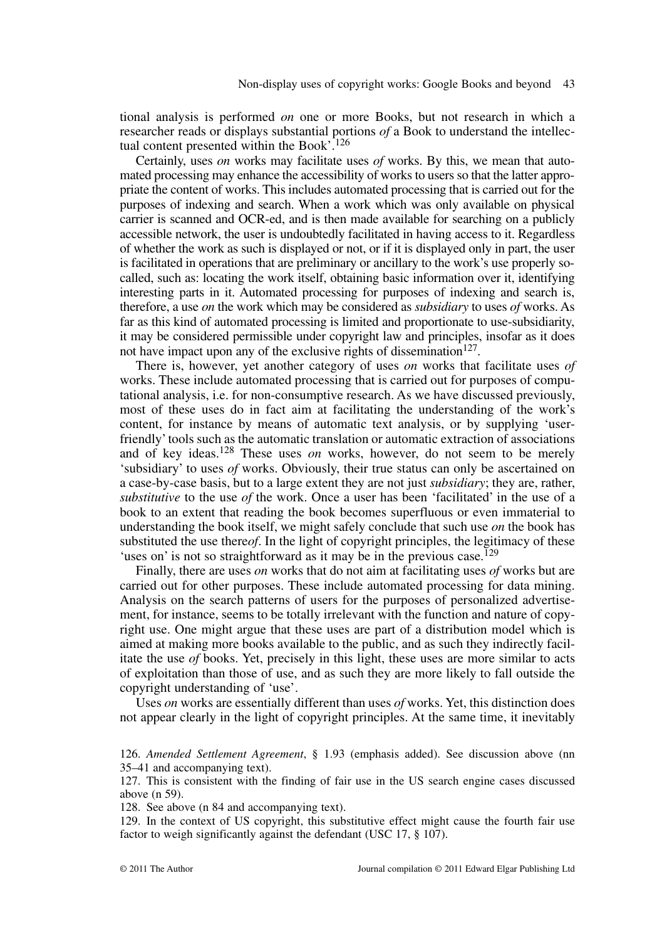tional analysis is performed *on* one or more Books, but not research in which a researcher reads or displays substantial portions *of* a Book to understand the intellectual content presented within the Book'.<sup>126</sup>

Certainly, uses *on* works may facilitate uses *of* works. By this, we mean that automated processing may enhance the accessibility of works to users so that the latter appropriate the content of works. This includes automated processing that is carried out for the purposes of indexing and search. When a work which was only available on physical carrier is scanned and OCR-ed, and is then made available for searching on a publicly accessible network, the user is undoubtedly facilitated in having access to it. Regardless of whether the work as such is displayed or not, or if it is displayed only in part, the user is facilitated in operations that are preliminary or ancillary to the work's use properly socalled, such as: locating the work itself, obtaining basic information over it, identifying interesting parts in it. Automated processing for purposes of indexing and search is, therefore, a use *on* the work which may be considered as *subsidiary* to uses *of* works. As far as this kind of automated processing is limited and proportionate to use-subsidiarity, it may be considered permissible under copyright law and principles, insofar as it does not have impact upon any of the exclusive rights of dissemination<sup>127</sup>.

There is, however, yet another category of uses *on* works that facilitate uses *of* works. These include automated processing that is carried out for purposes of computational analysis, i.e. for non-consumptive research. As we have discussed previously, most of these uses do in fact aim at facilitating the understanding of the work's content, for instance by means of automatic text analysis, or by supplying 'userfriendly' tools such as the automatic translation or automatic extraction of associations and of key ideas.<sup>128</sup> These uses *on* works, however, do not seem to be merely 'subsidiary' to uses *of* works. Obviously, their true status can only be ascertained on a case-by-case basis, but to a large extent they are not just *subsidiary*; they are, rather, *substitutive* to the use *of* the work. Once a user has been 'facilitated' in the use of a book to an extent that reading the book becomes superfluous or even immaterial to understanding the book itself, we might safely conclude that such use *on* the book has substituted the use there*of*. In the light of copyright principles, the legitimacy of these 'uses on' is not so straightforward as it may be in the previous case.<sup>129</sup>

Finally, there are uses *on* works that do not aim at facilitating uses *of* works but are carried out for other purposes. These include automated processing for data mining. Analysis on the search patterns of users for the purposes of personalized advertisement, for instance, seems to be totally irrelevant with the function and nature of copyright use. One might argue that these uses are part of a distribution model which is aimed at making more books available to the public, and as such they indirectly facilitate the use *of* books. Yet, precisely in this light, these uses are more similar to acts of exploitation than those of use, and as such they are more likely to fall outside the copyright understanding of 'use'.

Uses *on* works are essentially different than uses *of* works. Yet, this distinction does not appear clearly in the light of copyright principles. At the same time, it inevitably

128. See above (n 84 and accompanying text).

129. In the context of US copyright, this substitutive effect might cause the fourth fair use factor to weigh significantly against the defendant (USC 17, § 107).

<sup>126.</sup> *Amended Settlement Agreement*, § 1.93 (emphasis added). See discussion above (nn 35–41 and accompanying text).

<sup>127.</sup> This is consistent with the finding of fair use in the US search engine cases discussed above (n 59).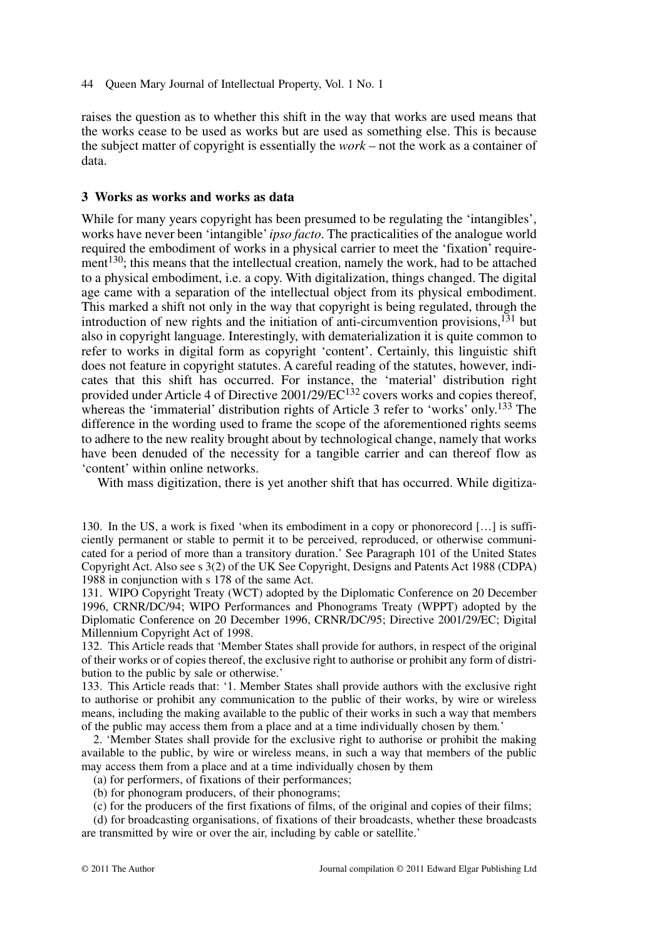raises the question as to whether this shift in the way that works are used means that the works cease to be used as works but are used as something else. This is because the subject matter of copyright is essentially the *work* – not the work as a container of data.

## **3 Works as works and works as data**

While for many years copyright has been presumed to be regulating the 'intangibles', works have never been 'intangible'*ipso facto*. The practicalities of the analogue world required the embodiment of works in a physical carrier to meet the 'fixation' requirement<sup>130</sup>; this means that the intellectual creation, namely the work, had to be attached to a physical embodiment, i.e. a copy. With digitalization, things changed. The digital age came with a separation of the intellectual object from its physical embodiment. This marked a shift not only in the way that copyright is being regulated, through the introduction of new rights and the initiation of anti-circumvention provisions, $^{131}$  but also in copyright language. Interestingly, with dematerialization it is quite common to refer to works in digital form as copyright 'content'. Certainly, this linguistic shift does not feature in copyright statutes. A careful reading of the statutes, however, indicates that this shift has occurred. For instance, the 'material' distribution right provided under Article 4 of Directive  $2001/29/EC^{132}$  covers works and copies thereof, whereas the 'immaterial' distribution rights of Article 3 refer to 'works' only.<sup>133</sup> The difference in the wording used to frame the scope of the aforementioned rights seems to adhere to the new reality brought about by technological change, namely that works have been denuded of the necessity for a tangible carrier and can thereof flow as 'content' within online networks.

With mass digitization, there is yet another shift that has occurred. While digitiza-

131. WIPO Copyright Treaty (WCT) adopted by the Diplomatic Conference on 20 December 1996, CRNR/DC/94; WIPO Performances and Phonograms Treaty (WPPT) adopted by the Diplomatic Conference on 20 December 1996, CRNR/DC/95; Directive 2001/29/EC; Digital Millennium Copyright Act of 1998.

132. This Article reads that 'Member States shall provide for authors, in respect of the original of their works or of copies thereof, the exclusive right to authorise or prohibit any form of distribution to the public by sale or otherwise.'

133. This Article reads that: '1. Member States shall provide authors with the exclusive right to authorise or prohibit any communication to the public of their works, by wire or wireless means, including the making available to the public of their works in such a way that members of the public may access them from a place and at a time individually chosen by them*.*'

2. 'Member States shall provide for the exclusive right to authorise or prohibit the making available to the public, by wire or wireless means, in such a way that members of the public may access them from a place and at a time individually chosen by them

- (a) for performers, of fixations of their performances;
- (b) for phonogram producers, of their phonograms;

(c) for the producers of the first fixations of films, of the original and copies of their films;

(d) for broadcasting organisations, of fixations of their broadcasts, whether these broadcasts are transmitted by wire or over the air, including by cable or satellite.'

<sup>130.</sup> In the US, a work is fixed 'when its embodiment in a copy or phonorecord […] is sufficiently permanent or stable to permit it to be perceived, reproduced, or otherwise communicated for a period of more than a transitory duration.' See Paragraph 101 of the United States Copyright Act. Also see s 3(2) of the UK See Copyright, Designs and Patents Act 1988 (CDPA) 1988 in conjunction with s 178 of the same Act.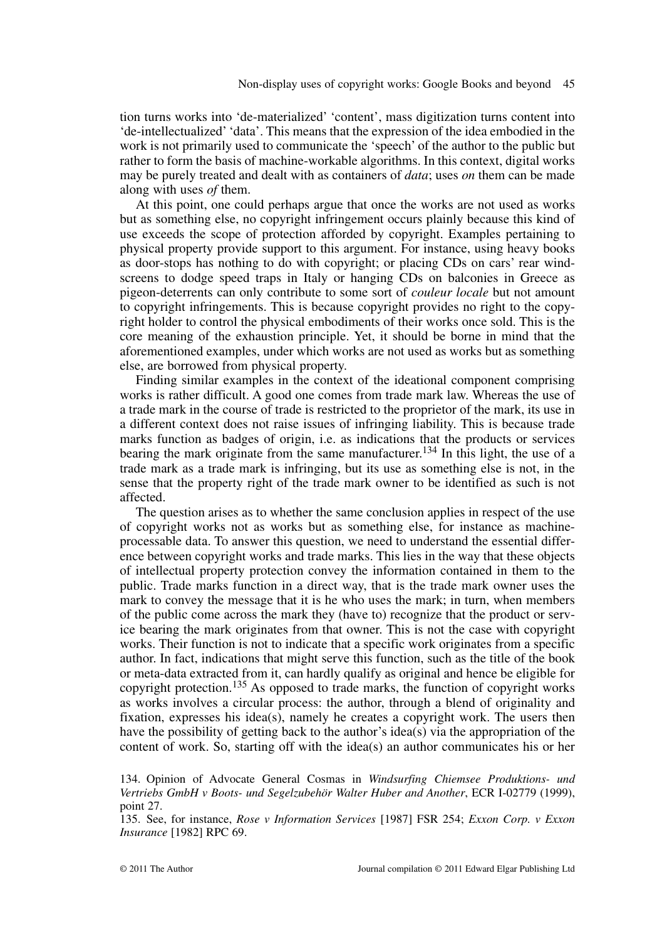tion turns works into 'de-materialized' 'content', mass digitization turns content into 'de-intellectualized' 'data'. This means that the expression of the idea embodied in the work is not primarily used to communicate the 'speech' of the author to the public but rather to form the basis of machine-workable algorithms. In this context, digital works may be purely treated and dealt with as containers of *data*; uses *on* them can be made along with uses *of* them.

At this point, one could perhaps argue that once the works are not used as works but as something else, no copyright infringement occurs plainly because this kind of use exceeds the scope of protection afforded by copyright. Examples pertaining to physical property provide support to this argument. For instance, using heavy books as door-stops has nothing to do with copyright; or placing CDs on cars' rear windscreens to dodge speed traps in Italy or hanging CDs on balconies in Greece as pigeon-deterrents can only contribute to some sort of *couleur locale* but not amount to copyright infringements. This is because copyright provides no right to the copyright holder to control the physical embodiments of their works once sold. This is the core meaning of the exhaustion principle. Yet, it should be borne in mind that the aforementioned examples, under which works are not used as works but as something else, are borrowed from physical property.

Finding similar examples in the context of the ideational component comprising works is rather difficult. A good one comes from trade mark law. Whereas the use of a trade mark in the course of trade is restricted to the proprietor of the mark, its use in a different context does not raise issues of infringing liability. This is because trade marks function as badges of origin, i.e. as indications that the products or services bearing the mark originate from the same manufacturer.<sup>134</sup> In this light, the use of a trade mark as a trade mark is infringing, but its use as something else is not, in the sense that the property right of the trade mark owner to be identified as such is not affected.

The question arises as to whether the same conclusion applies in respect of the use of copyright works not as works but as something else, for instance as machineprocessable data. To answer this question, we need to understand the essential difference between copyright works and trade marks. This lies in the way that these objects of intellectual property protection convey the information contained in them to the public. Trade marks function in a direct way, that is the trade mark owner uses the mark to convey the message that it is he who uses the mark; in turn, when members of the public come across the mark they (have to) recognize that the product or service bearing the mark originates from that owner. This is not the case with copyright works. Their function is not to indicate that a specific work originates from a specific author. In fact, indications that might serve this function, such as the title of the book or meta-data extracted from it, can hardly qualify as original and hence be eligible for copyright protection.<sup>135</sup> As opposed to trade marks, the function of copyright works as works involves a circular process: the author, through a blend of originality and fixation, expresses his idea(s), namely he creates a copyright work. The users then have the possibility of getting back to the author's idea(s) via the appropriation of the content of work. So, starting off with the idea(s) an author communicates his or her

<sup>134.</sup> Opinion of Advocate General Cosmas in *Windsurfing Chiemsee Produktions- und Vertriebs GmbH v Boots- und Segelzubehör Walter Huber and Another*, ECR I-02779 (1999), point 27.

<sup>135.</sup> See, for instance, *Rose v Information Services* [1987] FSR 254; *Exxon Corp. v Exxon Insurance* [1982] RPC 69.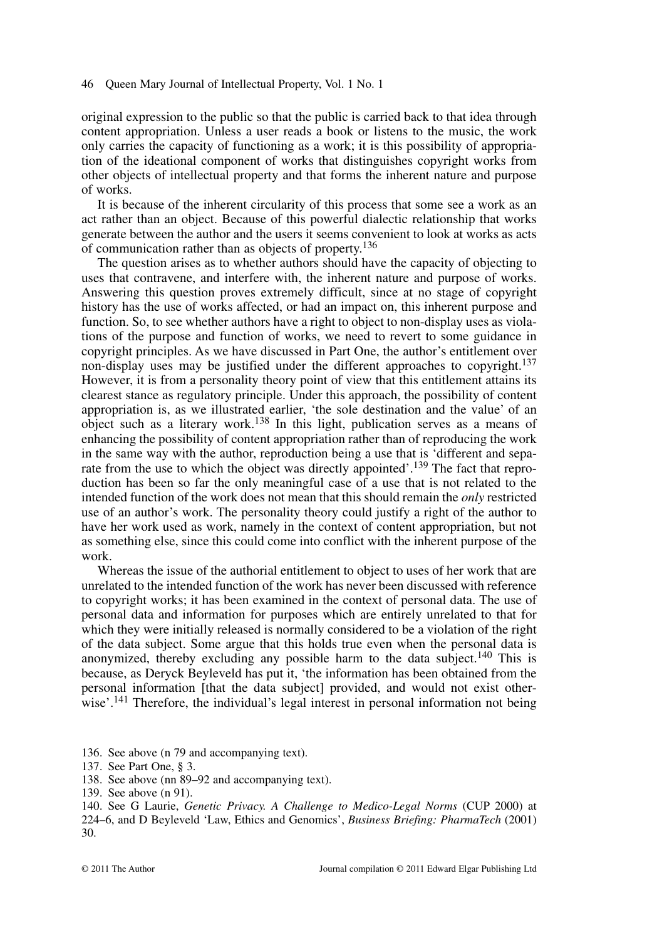original expression to the public so that the public is carried back to that idea through content appropriation. Unless a user reads a book or listens to the music, the work only carries the capacity of functioning as a work; it is this possibility of appropriation of the ideational component of works that distinguishes copyright works from other objects of intellectual property and that forms the inherent nature and purpose of works.

It is because of the inherent circularity of this process that some see a work as an act rather than an object. Because of this powerful dialectic relationship that works generate between the author and the users it seems convenient to look at works as acts of communication rather than as objects of property.136

The question arises as to whether authors should have the capacity of objecting to uses that contravene, and interfere with, the inherent nature and purpose of works. Answering this question proves extremely difficult, since at no stage of copyright history has the use of works affected, or had an impact on, this inherent purpose and function. So, to see whether authors have a right to object to non-display uses as violations of the purpose and function of works, we need to revert to some guidance in copyright principles. As we have discussed in Part One, the author's entitlement over non-display uses may be justified under the different approaches to copyright.<sup>137</sup> However, it is from a personality theory point of view that this entitlement attains its clearest stance as regulatory principle. Under this approach, the possibility of content appropriation is, as we illustrated earlier, 'the sole destination and the value' of an object such as a literary work.<sup>138</sup> In this light, publication serves as a means of enhancing the possibility of content appropriation rather than of reproducing the work in the same way with the author, reproduction being a use that is 'different and separate from the use to which the object was directly appointed'.<sup>139</sup> The fact that reproduction has been so far the only meaningful case of a use that is not related to the intended function of the work does not mean that this should remain the *only* restricted use of an author's work. The personality theory could justify a right of the author to have her work used as work, namely in the context of content appropriation, but not as something else, since this could come into conflict with the inherent purpose of the work.

Whereas the issue of the authorial entitlement to object to uses of her work that are unrelated to the intended function of the work has never been discussed with reference to copyright works; it has been examined in the context of personal data. The use of personal data and information for purposes which are entirely unrelated to that for which they were initially released is normally considered to be a violation of the right of the data subject. Some argue that this holds true even when the personal data is anonymized, thereby excluding any possible harm to the data subject.<sup>140</sup> This is because, as Deryck Beyleveld has put it, 'the information has been obtained from the personal information [that the data subject] provided, and would not exist otherwise'.<sup>141</sup> Therefore, the individual's legal interest in personal information not being

136. See above (n 79 and accompanying text).

138. See above (nn 89–92 and accompanying text).

<sup>137.</sup> See Part One, § 3.

<sup>139.</sup> See above (n 91).

<sup>140.</sup> See G Laurie, *Genetic Privacy. A Challenge to Medico-Legal Norms* (CUP 2000) at 224–6, and D Beyleveld 'Law, Ethics and Genomics', *Business Briefing: PharmaTech* (2001) 30.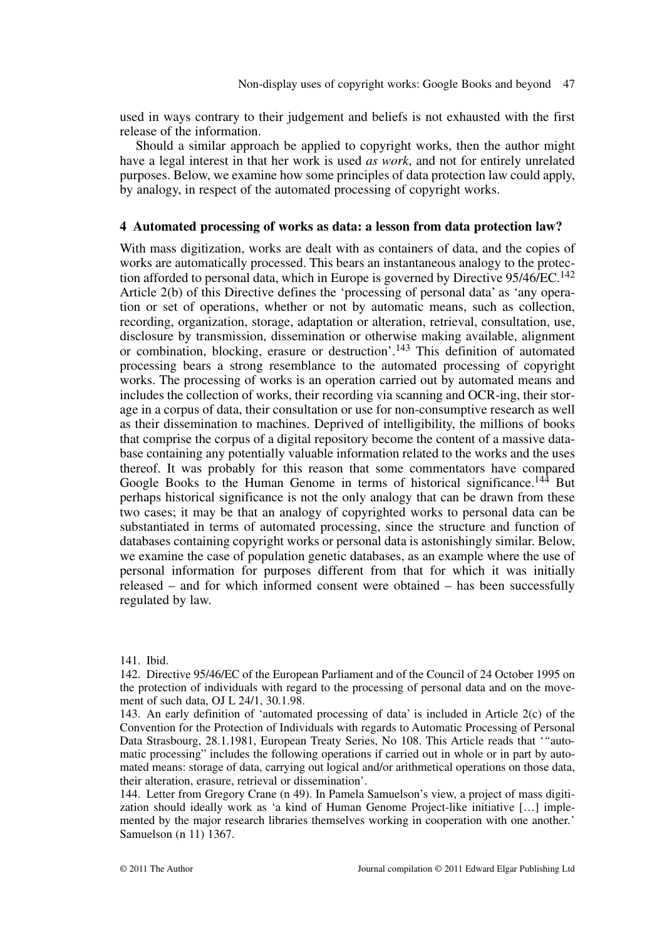used in ways contrary to their judgement and beliefs is not exhausted with the first release of the information.

Should a similar approach be applied to copyright works, then the author might have a legal interest in that her work is used *as work*, and not for entirely unrelated purposes. Below, we examine how some principles of data protection law could apply, by analogy, in respect of the automated processing of copyright works.

## **4 Automated processing of works as data: a lesson from data protection law?**

With mass digitization, works are dealt with as containers of data, and the copies of works are automatically processed. This bears an instantaneous analogy to the protection afforded to personal data, which in Europe is governed by Directive 95/46/EC.<sup>142</sup> Article 2(b) of this Directive defines the 'processing of personal data' as 'any operation or set of operations, whether or not by automatic means, such as collection, recording, organization, storage, adaptation or alteration, retrieval, consultation, use, disclosure by transmission, dissemination or otherwise making available, alignment or combination, blocking, erasure or destruction'.<sup>143</sup> This definition of automated processing bears a strong resemblance to the automated processing of copyright works. The processing of works is an operation carried out by automated means and includes the collection of works, their recording via scanning and OCR-ing, their storage in a corpus of data, their consultation or use for non-consumptive research as well as their dissemination to machines. Deprived of intelligibility, the millions of books that comprise the corpus of a digital repository become the content of a massive database containing any potentially valuable information related to the works and the uses thereof. It was probably for this reason that some commentators have compared Google Books to the Human Genome in terms of historical significance.<sup>144</sup> But perhaps historical significance is not the only analogy that can be drawn from these two cases; it may be that an analogy of copyrighted works to personal data can be substantiated in terms of automated processing, since the structure and function of databases containing copyright works or personal data is astonishingly similar. Below, we examine the case of population genetic databases, as an example where the use of personal information for purposes different from that for which it was initially released – and for which informed consent were obtained – has been successfully regulated by law.

#### 141. Ibid.

142. Directive 95/46/EC of the European Parliament and of the Council of 24 October 1995 on the protection of individuals with regard to the processing of personal data and on the movement of such data, OJ L 24/1, 30.1.98.

143. An early definition of 'automated processing of data' is included in Article 2(c) of the Convention for the Protection of Individuals with regards to Automatic Processing of Personal Data Strasbourg, 28.1.1981, European Treaty Series, No 108. This Article reads that '*"*automatic processing" includes the following operations if carried out in whole or in part by automated means: storage of data, carrying out logical and/or arithmetical operations on those data, their alteration, erasure, retrieval or dissemination'.

144. Letter from Gregory Crane (n 49). In Pamela Samuelson's view, a project of mass digitization should ideally work as 'a kind of Human Genome Project-like initiative […] implemented by the major research libraries themselves working in cooperation with one another*.*' Samuelson (n 11) 1367.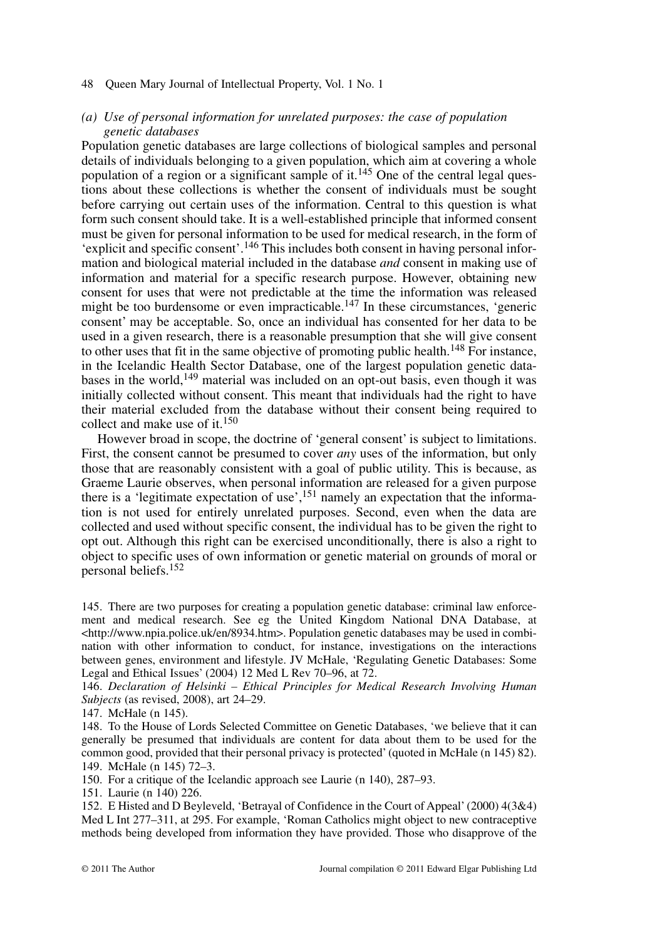# *(a) Use of personal information for unrelated purposes: the case of population genetic databases*

Population genetic databases are large collections of biological samples and personal details of individuals belonging to a given population, which aim at covering a whole population of a region or a significant sample of it.<sup>145</sup> One of the central legal questions about these collections is whether the consent of individuals must be sought before carrying out certain uses of the information. Central to this question is what form such consent should take. It is a well-established principle that informed consent must be given for personal information to be used for medical research, in the form of 'explicit and specific consent'.146 This includes both consent in having personal information and biological material included in the database *and* consent in making use of information and material for a specific research purpose. However, obtaining new consent for uses that were not predictable at the time the information was released might be too burdensome or even impracticable.<sup>147</sup> In these circumstances, 'generic consent' may be acceptable. So, once an individual has consented for her data to be used in a given research, there is a reasonable presumption that she will give consent to other uses that fit in the same objective of promoting public health.<sup>148</sup> For instance, in the Icelandic Health Sector Database, one of the largest population genetic databases in the world,<sup>149</sup> material was included on an opt-out basis, even though it was initially collected without consent. This meant that individuals had the right to have their material excluded from the database without their consent being required to collect and make use of it.<sup>150</sup>

However broad in scope, the doctrine of 'general consent' is subject to limitations. First, the consent cannot be presumed to cover *any* uses of the information, but only those that are reasonably consistent with a goal of public utility. This is because, as Graeme Laurie observes, when personal information are released for a given purpose there is a 'legitimate expectation of use',  $151$  namely an expectation that the information is not used for entirely unrelated purposes. Second, even when the data are collected and used without specific consent, the individual has to be given the right to opt out. Although this right can be exercised unconditionally, there is also a right to object to specific uses of own information or genetic material on grounds of moral or personal beliefs.152

145. There are two purposes for creating a population genetic database: criminal law enforcement and medical research. See eg the United Kingdom National DNA Database, at  $\text{th}(w, w, w, \text{total})$   $\text{th}(w, w, w, \text{total})$  and  $\text{th}(w, w, w, \text{total})$  and  $\text{th}(w, w, w, \text{total})$  and  $\text{th}(w, w, w, \text{total})$  and  $\text{th}(w, w, w, \text{total})$  and  $\text{th}(w, w, w, \text{total})$  and  $\text{th}(w, w, w, \text{total})$  and  $\text{th}(w, w, w, \text{total})$  and  $\text{th}(w, w, w, \text{total})$ nation with other information to conduct, for instance, investigations on the interactions between genes, environment and lifestyle. JV McHale, 'Regulating Genetic Databases: Some Legal and Ethical Issues' (2004) 12 Med L Rev 70–96, at 72.

146. *Declaration of Helsinki – Ethical Principles for Medical Research Involving Human Subjects* (as revised, 2008), art 24–29.

147. McHale (n 145).

148. To the House of Lords Selected Committee on Genetic Databases, 'we believe that it can generally be presumed that individuals are content for data about them to be used for the common good, provided that their personal privacy is protected'(quoted in McHale (n 145) 82). 149. McHale (n 145) 72–3.

150. For a critique of the Icelandic approach see Laurie (n 140), 287–93.

151. Laurie (n 140) 226.

152. E Histed and D Beyleveld, 'Betrayal of Confidence in the Court of Appeal' (2000) 4(3&4) Med L Int 277–311, at 295. For example, 'Roman Catholics might object to new contraceptive methods being developed from information they have provided. Those who disapprove of the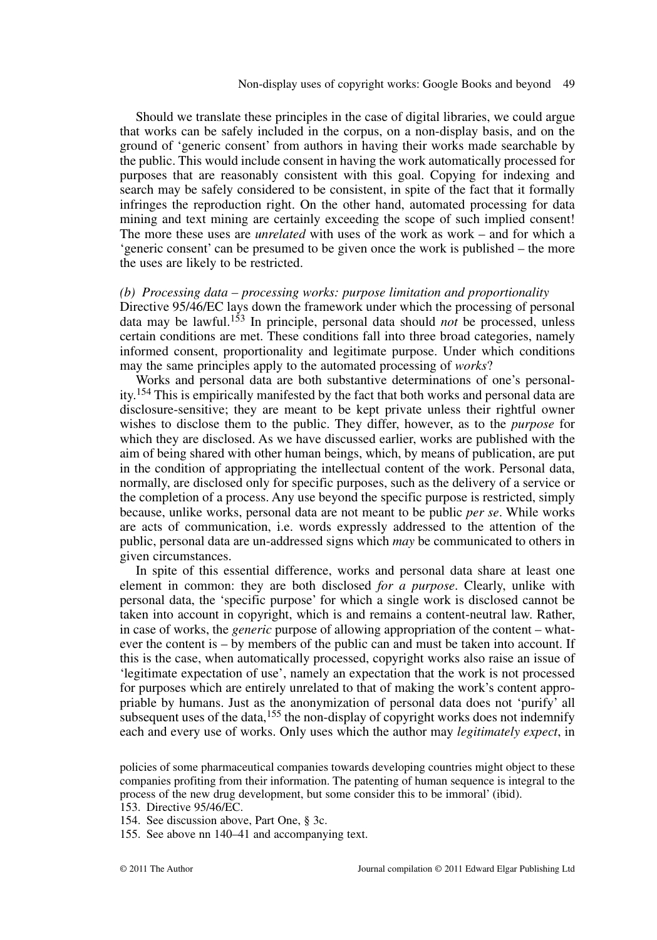Should we translate these principles in the case of digital libraries, we could argue that works can be safely included in the corpus, on a non-display basis, and on the ground of 'generic consent' from authors in having their works made searchable by the public. This would include consent in having the work automatically processed for purposes that are reasonably consistent with this goal. Copying for indexing and search may be safely considered to be consistent, in spite of the fact that it formally infringes the reproduction right. On the other hand, automated processing for data mining and text mining are certainly exceeding the scope of such implied consent! The more these uses are *unrelated* with uses of the work as work – and for which a 'generic consent' can be presumed to be given once the work is published – the more the uses are likely to be restricted.

## *(b) Processing data – processing works: purpose limitation and proportionality*

Directive 95/46/EC lays down the framework under which the processing of personal data may be lawful.<sup>153</sup> In principle, personal data should *not* be processed, unless certain conditions are met. These conditions fall into three broad categories, namely informed consent, proportionality and legitimate purpose. Under which conditions may the same principles apply to the automated processing of *works*?

Works and personal data are both substantive determinations of one's personality.<sup>154</sup> This is empirically manifested by the fact that both works and personal data are disclosure-sensitive; they are meant to be kept private unless their rightful owner wishes to disclose them to the public. They differ, however, as to the *purpose* for which they are disclosed. As we have discussed earlier, works are published with the aim of being shared with other human beings, which, by means of publication, are put in the condition of appropriating the intellectual content of the work. Personal data, normally, are disclosed only for specific purposes, such as the delivery of a service or the completion of a process. Any use beyond the specific purpose is restricted, simply because, unlike works, personal data are not meant to be public *per se*. While works are acts of communication, i.e. words expressly addressed to the attention of the public, personal data are un-addressed signs which *may* be communicated to others in given circumstances.

In spite of this essential difference, works and personal data share at least one element in common: they are both disclosed *for a purpose*. Clearly, unlike with personal data, the 'specific purpose' for which a single work is disclosed cannot be taken into account in copyright, which is and remains a content-neutral law. Rather, in case of works, the *generic* purpose of allowing appropriation of the content – whatever the content is – by members of the public can and must be taken into account. If this is the case, when automatically processed, copyright works also raise an issue of 'legitimate expectation of use', namely an expectation that the work is not processed for purposes which are entirely unrelated to that of making the work's content appropriable by humans. Just as the anonymization of personal data does not 'purify' all subsequent uses of the data,  $155$  the non-display of copyright works does not indemnify each and every use of works. Only uses which the author may *legitimately expect*, in

policies of some pharmaceutical companies towards developing countries might object to these companies profiting from their information. The patenting of human sequence is integral to the process of the new drug development, but some consider this to be immoral' (ibid).

<sup>153.</sup> Directive 95/46/EC.

<sup>154.</sup> See discussion above, Part One, § 3c.

<sup>155.</sup> See above nn 140–41 and accompanying text.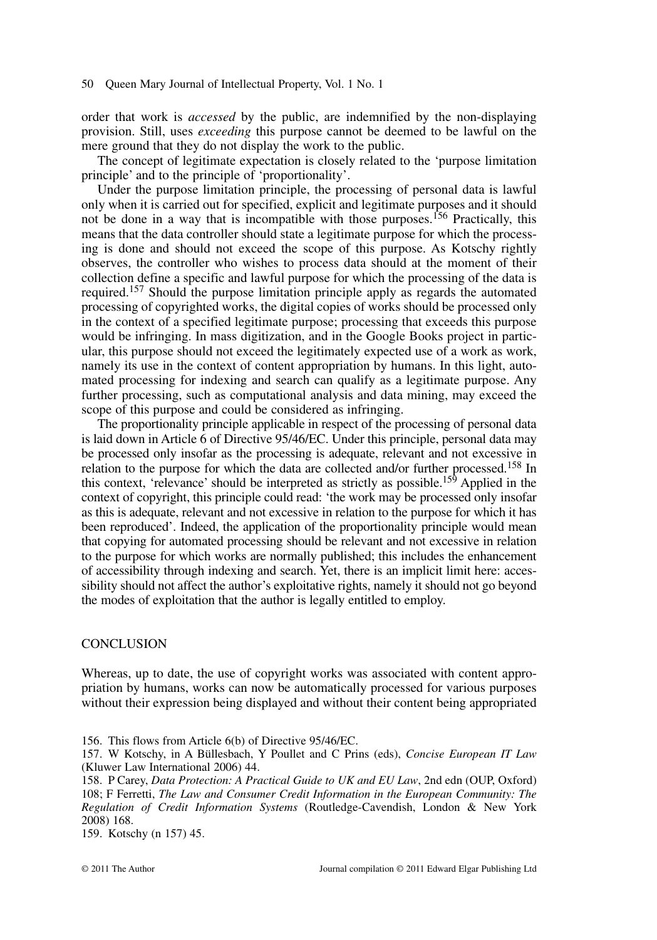order that work is *accessed* by the public, are indemnified by the non-displaying provision. Still, uses *exceeding* this purpose cannot be deemed to be lawful on the mere ground that they do not display the work to the public.

The concept of legitimate expectation is closely related to the 'purpose limitation principle' and to the principle of 'proportionality'.

Under the purpose limitation principle, the processing of personal data is lawful only when it is carried out for specified, explicit and legitimate purposes and it should not be done in a way that is incompatible with those purposes.<sup>156</sup> Practically, this means that the data controller should state a legitimate purpose for which the processing is done and should not exceed the scope of this purpose. As Kotschy rightly observes, the controller who wishes to process data should at the moment of their collection define a specific and lawful purpose for which the processing of the data is required.157 Should the purpose limitation principle apply as regards the automated processing of copyrighted works, the digital copies of works should be processed only in the context of a specified legitimate purpose; processing that exceeds this purpose would be infringing. In mass digitization, and in the Google Books project in particular, this purpose should not exceed the legitimately expected use of a work as work, namely its use in the context of content appropriation by humans. In this light, automated processing for indexing and search can qualify as a legitimate purpose. Any further processing, such as computational analysis and data mining, may exceed the scope of this purpose and could be considered as infringing.

The proportionality principle applicable in respect of the processing of personal data is laid down in Article 6 of Directive 95/46/EC. Under this principle, personal data may be processed only insofar as the processing is adequate, relevant and not excessive in relation to the purpose for which the data are collected and/or further processed.158 In this context, 'relevance' should be interpreted as strictly as possible.159 Applied in the context of copyright, this principle could read: 'the work may be processed only insofar as this is adequate, relevant and not excessive in relation to the purpose for which it has been reproduced'. Indeed, the application of the proportionality principle would mean that copying for automated processing should be relevant and not excessive in relation to the purpose for which works are normally published; this includes the enhancement of accessibility through indexing and search. Yet, there is an implicit limit here: accessibility should not affect the author's exploitative rights, namely it should not go beyond the modes of exploitation that the author is legally entitled to employ.

## **CONCLUSION**

Whereas, up to date, the use of copyright works was associated with content appropriation by humans, works can now be automatically processed for various purposes without their expression being displayed and without their content being appropriated

156. This flows from Article 6(b) of Directive 95/46/EC.

159. Kotschy (n 157) 45.

<sup>157.</sup> W Kotschy, in A Büllesbach, Y Poullet and C Prins (eds), *Concise European IT Law* (Kluwer Law International 2006) 44.

<sup>158.</sup> P Carey, *Data Protection: A Practical Guide to UK and EU Law*, 2nd edn (OUP, Oxford) 108; F Ferretti, *The Law and Consumer Credit Information in the European Community: The Regulation of Credit Information Systems* (Routledge-Cavendish, London & New York 2008) 168.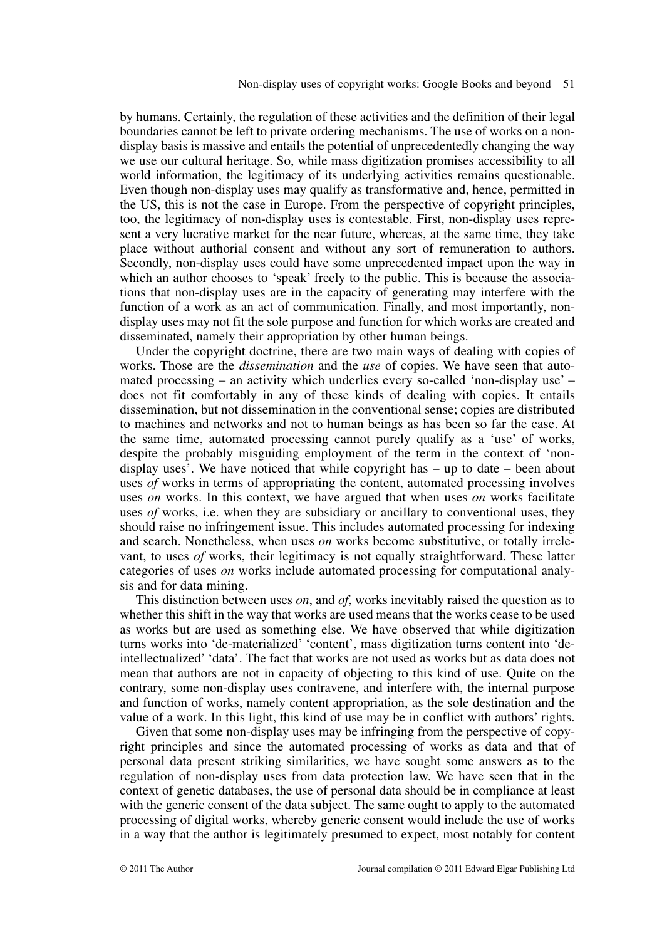by humans. Certainly, the regulation of these activities and the definition of their legal boundaries cannot be left to private ordering mechanisms. The use of works on a nondisplay basis is massive and entails the potential of unprecedentedly changing the way we use our cultural heritage. So, while mass digitization promises accessibility to all world information, the legitimacy of its underlying activities remains questionable. Even though non-display uses may qualify as transformative and, hence, permitted in the US, this is not the case in Europe. From the perspective of copyright principles, too, the legitimacy of non-display uses is contestable. First, non-display uses represent a very lucrative market for the near future, whereas, at the same time, they take place without authorial consent and without any sort of remuneration to authors. Secondly, non-display uses could have some unprecedented impact upon the way in which an author chooses to 'speak' freely to the public. This is because the associations that non-display uses are in the capacity of generating may interfere with the function of a work as an act of communication. Finally, and most importantly, nondisplay uses may not fit the sole purpose and function for which works are created and disseminated, namely their appropriation by other human beings.

Under the copyright doctrine, there are two main ways of dealing with copies of works. Those are the *dissemination* and the *use* of copies. We have seen that automated processing – an activity which underlies every so-called 'non-display use' – does not fit comfortably in any of these kinds of dealing with copies. It entails dissemination, but not dissemination in the conventional sense; copies are distributed to machines and networks and not to human beings as has been so far the case. At the same time, automated processing cannot purely qualify as a 'use' of works, despite the probably misguiding employment of the term in the context of 'nondisplay uses'. We have noticed that while copyright has – up to date – been about uses *of* works in terms of appropriating the content, automated processing involves uses *on* works. In this context, we have argued that when uses *on* works facilitate uses *of* works, i.e. when they are subsidiary or ancillary to conventional uses, they should raise no infringement issue. This includes automated processing for indexing and search. Nonetheless, when uses *on* works become substitutive, or totally irrelevant, to uses *of* works, their legitimacy is not equally straightforward. These latter categories of uses *on* works include automated processing for computational analysis and for data mining.

This distinction between uses *on*, and *of*, works inevitably raised the question as to whether this shift in the way that works are used means that the works cease to be used as works but are used as something else. We have observed that while digitization turns works into 'de-materialized' 'content', mass digitization turns content into 'deintellectualized' 'data'. The fact that works are not used as works but as data does not mean that authors are not in capacity of objecting to this kind of use. Quite on the contrary, some non-display uses contravene, and interfere with, the internal purpose and function of works, namely content appropriation, as the sole destination and the value of a work. In this light, this kind of use may be in conflict with authors' rights.

Given that some non-display uses may be infringing from the perspective of copyright principles and since the automated processing of works as data and that of personal data present striking similarities, we have sought some answers as to the regulation of non-display uses from data protection law. We have seen that in the context of genetic databases, the use of personal data should be in compliance at least with the generic consent of the data subject. The same ought to apply to the automated processing of digital works, whereby generic consent would include the use of works in a way that the author is legitimately presumed to expect, most notably for content